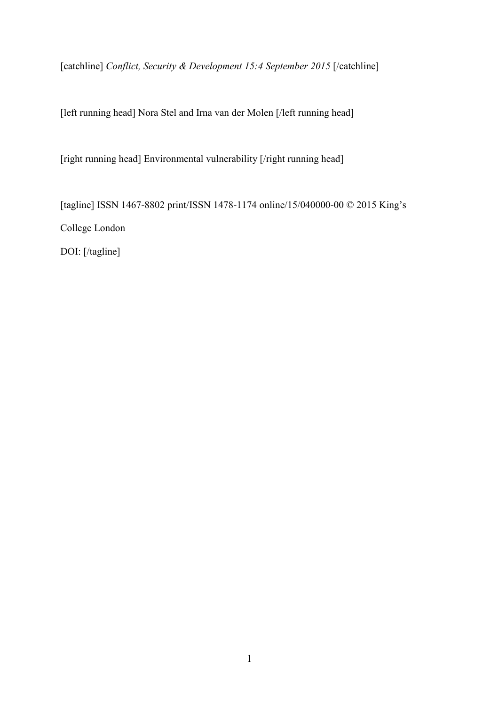[catchline] *Conflict, Security & Development 15:4 September 2015* [/catchline]

[left running head] Nora Stel and Irna van der Molen [/left running head]

[right running head] Environmental vulnerability [/right running head]

[tagline] ISSN 1467-8802 print/ISSN 1478-1174 online/15/040000-00 © 2015 King's College London DOI: [/tagline]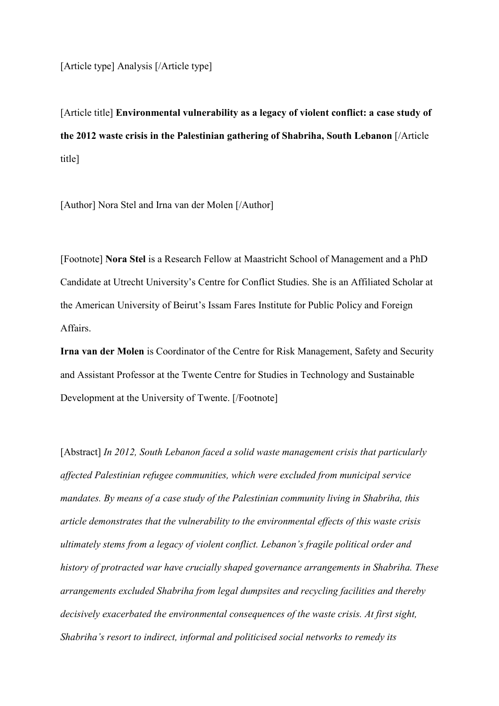[Article type] Analysis [/Article type]

[Article title] **Environmental vulnerability as a legacy of violent conflict: a case study of the 2012 waste crisis in the Palestinian gathering of Shabriha, South Lebanon** [/Article title]

[Author] Nora Stel and Irna van der Molen [/Author]

[Footnote] **Nora Stel** is a Research Fellow at Maastricht School of Management and a PhD Candidate at Utrecht University's Centre for Conflict Studies. She is an Affiliated Scholar at the American University of Beirut's Issam Fares Institute for Public Policy and Foreign Affairs.

**Irna van der Molen** is Coordinator of the Centre for Risk Management, Safety and Security and Assistant Professor at the Twente Centre for Studies in Technology and Sustainable Development at the University of Twente. [/Footnote]

[Abstract] *In 2012, South Lebanon faced a solid waste management crisis that particularly affected Palestinian refugee communities, which were excluded from municipal service mandates. By means of a case study of the Palestinian community living in Shabriha, this article demonstrates that the vulnerability to the environmental effects of this waste crisis ultimately stems from a legacy of violent conflict. Lebanon's fragile political order and history of protracted war have crucially shaped governance arrangements in Shabriha. These arrangements excluded Shabriha from legal dumpsites and recycling facilities and thereby decisively exacerbated the environmental consequences of the waste crisis. At first sight, Shabriha's resort to indirect, informal and politicised social networks to remedy its*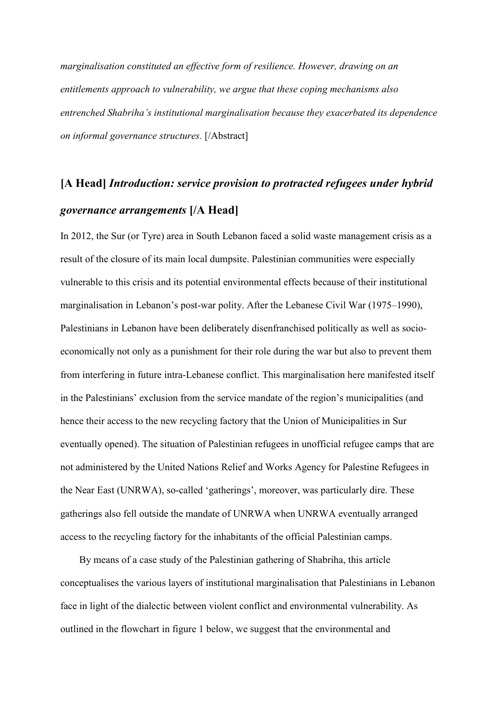*marginalisation constituted an effective form of resilience. However, drawing on an entitlements approach to vulnerability, we argue that these coping mechanisms also entrenched Shabriha's institutional marginalisation because they exacerbated its dependence on informal governance structures.* [/Abstract]

## **[A Head]** *Introduction: service provision to protracted refugees under hybrid governance arrangements* **[/A Head]**

In 2012, the Sur (or Tyre) area in South Lebanon faced a solid waste management crisis as a result of the closure of its main local dumpsite. Palestinian communities were especially vulnerable to this crisis and its potential environmental effects because of their institutional marginalisation in Lebanon's post-war polity. After the Lebanese Civil War (1975–1990), Palestinians in Lebanon have been deliberately disenfranchised politically as well as socioeconomically not only as a punishment for their role during the war but also to prevent them from interfering in future intra-Lebanese conflict. This marginalisation here manifested itself in the Palestinians' exclusion from the service mandate of the region's municipalities (and hence their access to the new recycling factory that the Union of Municipalities in Sur eventually opened). The situation of Palestinian refugees in unofficial refugee camps that are not administered by the United Nations Relief and Works Agency for Palestine Refugees in the Near East (UNRWA), so-called 'gatherings', moreover, was particularly dire. These gatherings also fell outside the mandate of UNRWA when UNRWA eventually arranged access to the recycling factory for the inhabitants of the official Palestinian camps.

By means of a case study of the Palestinian gathering of Shabriha, this article conceptualises the various layers of institutional marginalisation that Palestinians in Lebanon face in light of the dialectic between violent conflict and environmental vulnerability. As outlined in the flowchart in figure 1 below, we suggest that the environmental and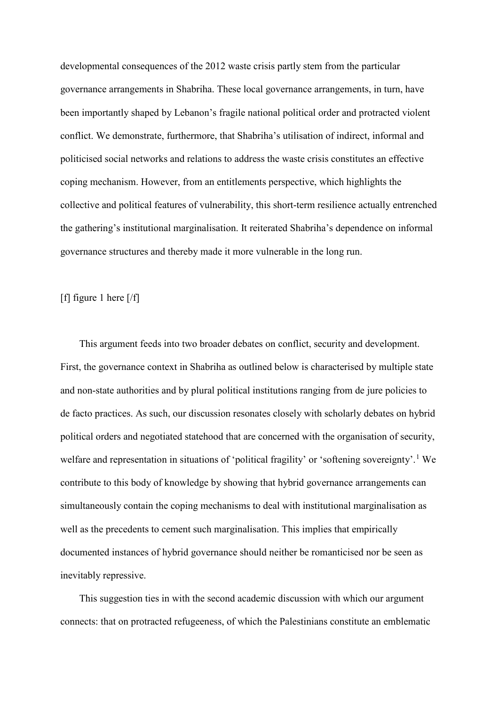developmental consequences of the 2012 waste crisis partly stem from the particular governance arrangements in Shabriha. These local governance arrangements, in turn, have been importantly shaped by Lebanon's fragile national political order and protracted violent conflict. We demonstrate, furthermore, that Shabriha's utilisation of indirect, informal and politicised social networks and relations to address the waste crisis constitutes an effective coping mechanism. However, from an entitlements perspective, which highlights the collective and political features of vulnerability, this short-term resilience actually entrenched the gathering's institutional marginalisation. It reiterated Shabriha's dependence on informal governance structures and thereby made it more vulnerable in the long run.

#### [f] figure 1 here [/f]

This argument feeds into two broader debates on conflict, security and development. First, the governance context in Shabriha as outlined below is characterised by multiple state and non-state authorities and by plural political institutions ranging from de jure policies to de facto practices. As such, our discussion resonates closely with scholarly debates on hybrid political orders and negotiated statehood that are concerned with the organisation of security, welfare and representation in situations of 'political fragility' or 'softening sovereignty'.<sup>[1](#page-13-0)</sup> We contribute to this body of knowledge by showing that hybrid governance arrangements can simultaneously contain the coping mechanisms to deal with institutional marginalisation as well as the precedents to cement such marginalisation. This implies that empirically documented instances of hybrid governance should neither be romanticised nor be seen as inevitably repressive.

This suggestion ties in with the second academic discussion with which our argument connects: that on protracted refugeeness, of which the Palestinians constitute an emblematic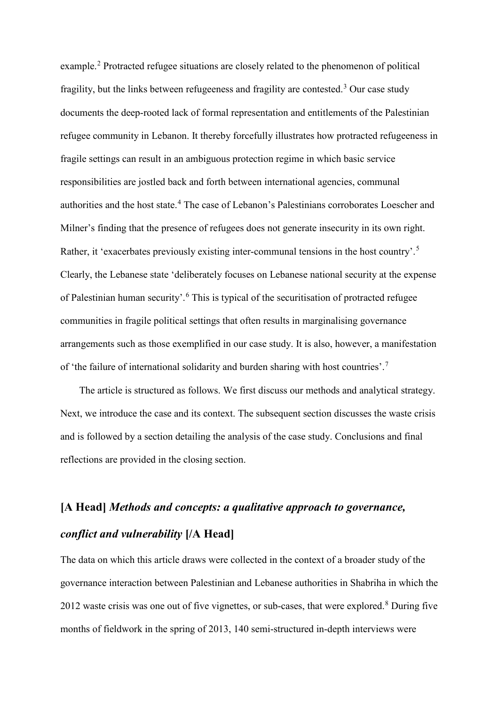example.[2](#page-13-1) Protracted refugee situations are closely related to the phenomenon of political fragility, but the links between refugeeness and fragility are contested. [3](#page-14-0) Our case study documents the deep-rooted lack of formal representation and entitlements of the Palestinian refugee community in Lebanon. It thereby forcefully illustrates how protracted refugeeness in fragile settings can result in an ambiguous protection regime in which basic service responsibilities are jostled back and forth between international agencies, communal authorities and the host state. [4](#page-14-1) The case of Lebanon's Palestinians corroborates Loescher and Milner's finding that the presence of refugees does not generate insecurity in its own right. Rather, it 'exacerbates previously existing inter-communal tensions in the host country'.<sup>[5](#page-14-2)</sup> Clearly, the Lebanese state 'deliberately focuses on Lebanese national security at the expense of Palestinian human security'.[6](#page-14-3) This is typical of the securitisation of protracted refugee communities in fragile political settings that often results in marginalising governance arrangements such as those exemplified in our case study. It is also, however, a manifestation of 'the failure of international solidarity and burden sharing with host countries'.<sup>[7](#page-14-4)</sup>

The article is structured as follows. We first discuss our methods and analytical strategy. Next, we introduce the case and its context. The subsequent section discusses the waste crisis and is followed by a section detailing the analysis of the case study. Conclusions and final reflections are provided in the closing section.

## **[A Head]** *Methods and concepts: a qualitative approach to governance, conflict and vulnerability* **[/A Head]**

The data on which this article draws were collected in the context of a broader study of the governance interaction between Palestinian and Lebanese authorities in Shabriha in which the 2012 waste crisis was one out of five vignettes, or sub-cases, that were explored.<sup>[8](#page-14-5)</sup> During five months of fieldwork in the spring of 2013, 140 semi-structured in-depth interviews were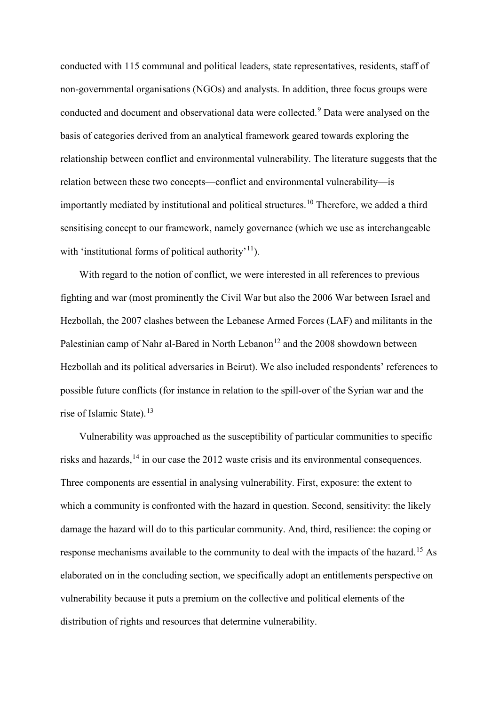conducted with 115 communal and political leaders, state representatives, residents, staff of non-governmental organisations (NGOs) and analysts. In addition, three focus groups were conducted and document and observational data were collected. [9](#page-14-6) Data were analysed on the basis of categories derived from an analytical framework geared towards exploring the relationship between conflict and environmental vulnerability. The literature suggests that the relation between these two concepts—conflict and environmental vulnerability—is importantly mediated by institutional and political structures. [10](#page-14-7) Therefore, we added a third sensitising concept to our framework, namely governance (which we use as interchangeable with 'institutional forms of political authority'<sup>[11](#page-14-8)</sup>).

With regard to the notion of conflict, we were interested in all references to previous fighting and war (most prominently the Civil War but also the 2006 War between Israel and Hezbollah, the 2007 clashes between the Lebanese Armed Forces (LAF) and militants in the Palestinian camp of Nahr al-Bared in North Lebanon<sup>[12](#page-14-9)</sup> and the 2008 showdown between Hezbollah and its political adversaries in Beirut). We also included respondents' references to possible future conflicts (for instance in relation to the spill-over of the Syrian war and the rise of Islamic State).<sup>[13](#page-14-10)</sup>

Vulnerability was approached as the susceptibility of particular communities to specific risks and hazards,<sup>[14](#page-14-11)</sup> in our case the 2012 waste crisis and its environmental consequences. Three components are essential in analysing vulnerability. First, exposure: the extent to which a community is confronted with the hazard in question. Second, sensitivity: the likely damage the hazard will do to this particular community. And, third, resilience: the coping or response mechanisms available to the community to deal with the impacts of the hazard.[15](#page-15-0) As elaborated on in the concluding section, we specifically adopt an entitlements perspective on vulnerability because it puts a premium on the collective and political elements of the distribution of rights and resources that determine vulnerability.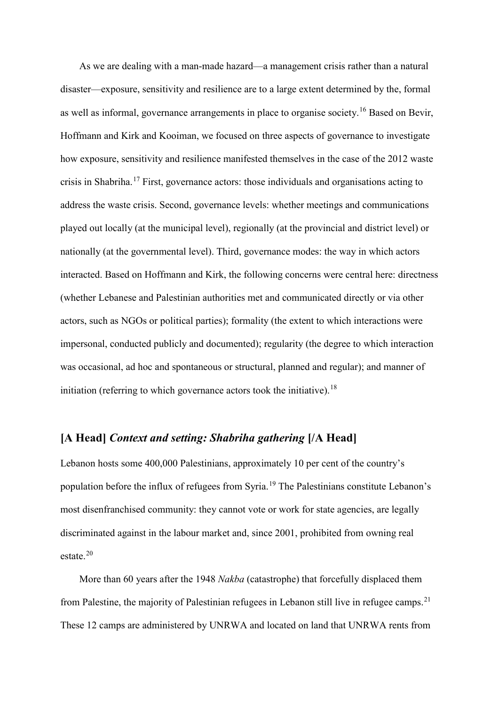As we are dealing with a man-made hazard—a management crisis rather than a natural disaster—exposure, sensitivity and resilience are to a large extent determined by the, formal as well as informal, governance arrangements in place to organise society.<sup>[16](#page-15-1)</sup> Based on Bevir, Hoffmann and Kirk and Kooiman, we focused on three aspects of governance to investigate how exposure, sensitivity and resilience manifested themselves in the case of the 2012 waste crisis in Shabriha. [17](#page-15-2) First, governance actors: those individuals and organisations acting to address the waste crisis. Second, governance levels: whether meetings and communications played out locally (at the municipal level), regionally (at the provincial and district level) or nationally (at the governmental level). Third, governance modes: the way in which actors interacted. Based on Hoffmann and Kirk, the following concerns were central here: directness (whether Lebanese and Palestinian authorities met and communicated directly or via other actors, such as NGOs or political parties); formality (the extent to which interactions were impersonal, conducted publicly and documented); regularity (the degree to which interaction was occasional, ad hoc and spontaneous or structural, planned and regular); and manner of initiation (referring to which governance actors took the initiative).<sup>[18](#page-15-3)</sup>

### **[A Head]** *Context and setting: Shabriha gathering* **[/A Head]**

Lebanon hosts some 400,000 Palestinians, approximately 10 per cent of the country's population before the influx of refugees from Syria.<sup>[19](#page-15-4)</sup> The Palestinians constitute Lebanon's most disenfranchised community: they cannot vote or work for state agencies, are legally discriminated against in the labour market and, since 2001, prohibited from owning real estate.[20](#page-15-5)

More than 60 years after the 1948 *Nakba* (catastrophe) that forcefully displaced them from Palestine, the majority of Palestinian refugees in Lebanon still live in refugee camps.<sup>[21](#page-15-6)</sup> These 12 camps are administered by UNRWA and located on land that UNRWA rents from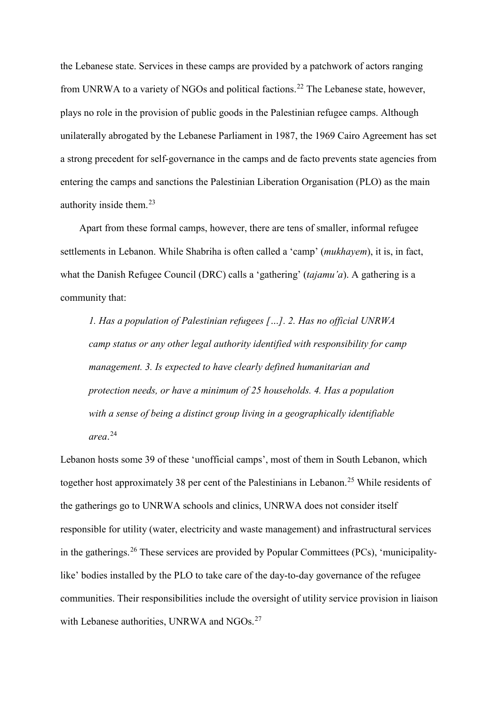the Lebanese state. Services in these camps are provided by a patchwork of actors ranging from UNRWA to a variety of NGOs and political factions.<sup>[22](#page-15-7)</sup> The Lebanese state, however, plays no role in the provision of public goods in the Palestinian refugee camps. Although unilaterally abrogated by the Lebanese Parliament in 1987, the 1969 Cairo Agreement has set a strong precedent for self-governance in the camps and de facto prevents state agencies from entering the camps and sanctions the Palestinian Liberation Organisation (PLO) as the main authority inside them. [23](#page-15-8)

Apart from these formal camps, however, there are tens of smaller, informal refugee settlements in Lebanon. While Shabriha is often called a 'camp' (*mukhayem*), it is, in fact, what the Danish Refugee Council (DRC) calls a 'gathering' (*tajamu'a*). A gathering is a community that:

*1. Has a population of Palestinian refugees […]. 2. Has no official UNRWA camp status or any other legal authority identified with responsibility for camp management. 3. Is expected to have clearly defined humanitarian and protection needs, or have a minimum of 25 households. 4. Has a population with a sense of being a distinct group living in a geographically identifiable area*. [24](#page-15-9)

Lebanon hosts some 39 of these 'unofficial camps', most of them in South Lebanon, which together host approximately 38 per cent of the Palestinians in Lebanon.<sup>[25](#page-15-10)</sup> While residents of the gatherings go to UNRWA schools and clinics, UNRWA does not consider itself responsible for utility (water, electricity and waste management) and infrastructural services in the gatherings.[26](#page-15-11) These services are provided by Popular Committees (PCs), 'municipalitylike' bodies installed by the PLO to take care of the day-to-day governance of the refugee communities. Their responsibilities include the oversight of utility service provision in liaison with Lebanese authorities, UNRWA and NGOs.<sup>[27](#page-15-12)</sup>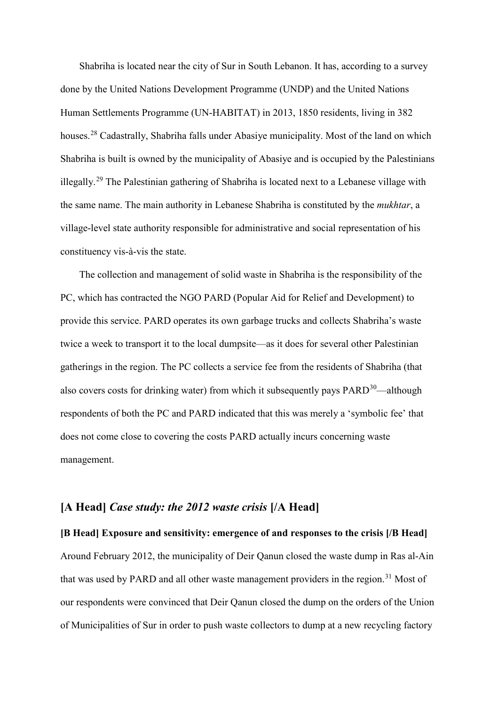Shabriha is located near the city of Sur in South Lebanon. It has, according to a survey done by the United Nations Development Programme (UNDP) and the United Nations Human Settlements Programme (UN-HABITAT) in 2013, 1850 residents, living in 382 houses.<sup>[28](#page-16-0)</sup> Cadastrally, Shabriha falls under Abasiye municipality. Most of the land on which Shabriha is built is owned by the municipality of Abasiye and is occupied by the Palestinians illegally.[29](#page-16-1) The Palestinian gathering of Shabriha is located next to a Lebanese village with the same name. The main authority in Lebanese Shabriha is constituted by the *mukhtar*, a village-level state authority responsible for administrative and social representation of his constituency vis-à-vis the state.

The collection and management of solid waste in Shabriha is the responsibility of the PC, which has contracted the NGO PARD (Popular Aid for Relief and Development) to provide this service. PARD operates its own garbage trucks and collects Shabriha's waste twice a week to transport it to the local dumpsite—as it does for several other Palestinian gatherings in the region. The PC collects a service fee from the residents of Shabriha (that also covers costs for drinking water) from which it subsequently pays  $PARD^{30}$ —although respondents of both the PC and PARD indicated that this was merely a 'symbolic fee' that does not come close to covering the costs PARD actually incurs concerning waste management.

#### **[A Head]** *Case study: the 2012 waste crisis* **[/A Head]**

#### **[B Head] Exposure and sensitivity: emergence of and responses to the crisis [/B Head]**

Around February 2012, the municipality of Deir Qanun closed the waste dump in Ras al-Ain that was used by PARD and all other waste management providers in the region.<sup>[31](#page-16-3)</sup> Most of our respondents were convinced that Deir Qanun closed the dump on the orders of the Union of Municipalities of Sur in order to push waste collectors to dump at a new recycling factory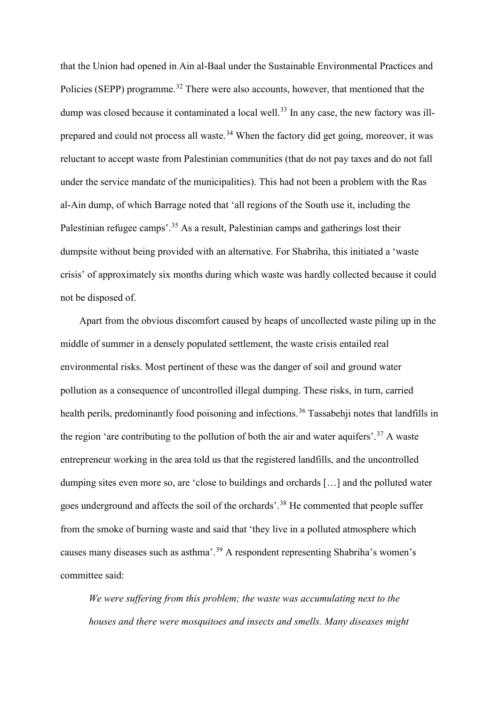that the Union had opened in Ain al-Baal under the Sustainable Environmental Practices and Policies (SEPP) programme.<sup>[32](#page-16-4)</sup> There were also accounts, however, that mentioned that the dump was closed because it contaminated a local well.<sup>[33](#page-16-5)</sup> In any case, the new factory was ill-prepared and could not process all waste.<sup>[34](#page-16-6)</sup> When the factory did get going, moreover, it was reluctant to accept waste from Palestinian communities (that do not pay taxes and do not fall under the service mandate of the municipalities). This had not been a problem with the Ras al-Ain dump, of which Barrage noted that 'all regions of the South use it, including the Palestinian refugee camps'.<sup>[35](#page-16-7)</sup> As a result, Palestinian camps and gatherings lost their dumpsite without being provided with an alternative. For Shabriha, this initiated a 'waste crisis' of approximately six months during which waste was hardly collected because it could not be disposed of.

Apart from the obvious discomfort caused by heaps of uncollected waste piling up in the middle of summer in a densely populated settlement, the waste crisis entailed real environmental risks. Most pertinent of these was the danger of soil and ground water pollution as a consequence of uncontrolled illegal dumping. These risks, in turn, carried health perils, predominantly food poisoning and infections.<sup>[36](#page-16-8)</sup> Tassabehji notes that landfills in the region 'are contributing to the pollution of both the air and water aquifers'.<sup>[37](#page-16-9)</sup> A waste entrepreneur working in the area told us that the registered landfills, and the uncontrolled dumping sites even more so, are 'close to buildings and orchards […] and the polluted water goes underground and affects the soil of the orchards'.<sup>[38](#page-16-10)</sup> He commented that people suffer from the smoke of burning waste and said that 'they live in a polluted atmosphere which causes many diseases such as asthma'.[39](#page-16-11) A respondent representing Shabriha's women's committee said:

*We were suffering from this problem; the waste was accumulating next to the houses and there were mosquitoes and insects and smells. Many diseases might*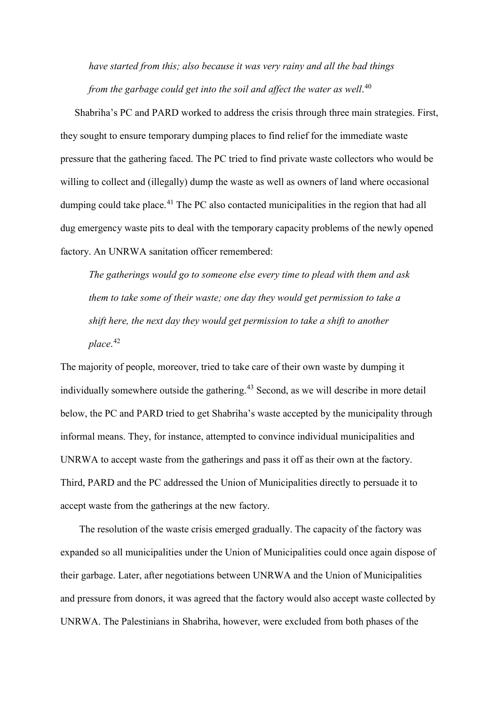*have started from this; also because it was very rainy and all the bad things from the garbage could get into the soil and affect the water as well*. [40](#page-16-12)

Shabriha's PC and PARD worked to address the crisis through three main strategies. First, they sought to ensure temporary dumping places to find relief for the immediate waste pressure that the gathering faced. The PC tried to find private waste collectors who would be willing to collect and (illegally) dump the waste as well as owners of land where occasional dumping could take place.<sup>[41](#page-16-13)</sup> The PC also contacted municipalities in the region that had all dug emergency waste pits to deal with the temporary capacity problems of the newly opened factory. An UNRWA sanitation officer remembered:

*The gatherings would go to someone else every time to plead with them and ask them to take some of their waste; one day they would get permission to take a shift here, the next day they would get permission to take a shift to another place*. [42](#page-16-14)

The majority of people, moreover, tried to take care of their own waste by dumping it individually somewhere outside the gathering.<sup>[43](#page-17-0)</sup> Second, as we will describe in more detail below, the PC and PARD tried to get Shabriha's waste accepted by the municipality through informal means. They, for instance, attempted to convince individual municipalities and UNRWA to accept waste from the gatherings and pass it off as their own at the factory. Third, PARD and the PC addressed the Union of Municipalities directly to persuade it to accept waste from the gatherings at the new factory.

The resolution of the waste crisis emerged gradually. The capacity of the factory was expanded so all municipalities under the Union of Municipalities could once again dispose of their garbage. Later, after negotiations between UNRWA and the Union of Municipalities and pressure from donors, it was agreed that the factory would also accept waste collected by UNRWA. The Palestinians in Shabriha, however, were excluded from both phases of the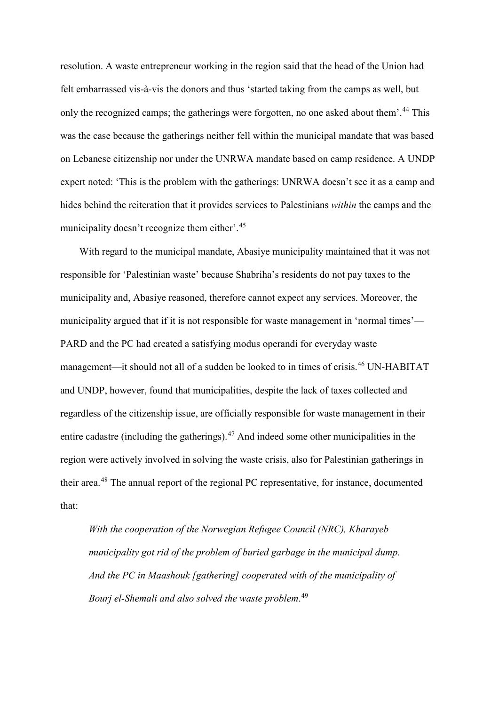resolution. A waste entrepreneur working in the region said that the head of the Union had felt embarrassed vis-à-vis the donors and thus 'started taking from the camps as well, but only the recognized camps; the gatherings were forgotten, no one asked about them'.<sup>[44](#page-17-1)</sup> This was the case because the gatherings neither fell within the municipal mandate that was based on Lebanese citizenship nor under the UNRWA mandate based on camp residence. A UNDP expert noted: 'This is the problem with the gatherings: UNRWA doesn't see it as a camp and hides behind the reiteration that it provides services to Palestinians *within* the camps and the municipality doesn't recognize them either'.<sup>[45](#page-17-2)</sup>

With regard to the municipal mandate, Abasiye municipality maintained that it was not responsible for 'Palestinian waste' because Shabriha's residents do not pay taxes to the municipality and, Abasiye reasoned, therefore cannot expect any services. Moreover, the municipality argued that if it is not responsible for waste management in 'normal times'— PARD and the PC had created a satisfying modus operandi for everyday waste management—it should not all of a sudden be looked to in times of crisis.[46](#page-17-3) UN-HABITAT and UNDP, however, found that municipalities, despite the lack of taxes collected and regardless of the citizenship issue, are officially responsible for waste management in their entire cadastre (including the gatherings).[47](#page-17-4) And indeed some other municipalities in the region were actively involved in solving the waste crisis, also for Palestinian gatherings in their area.[48](#page-17-5) The annual report of the regional PC representative, for instance, documented that:

*With the cooperation of the Norwegian Refugee Council (NRC), Kharayeb municipality got rid of the problem of buried garbage in the municipal dump. And the PC in Maashouk [gathering] cooperated with of the municipality of Bourj el-Shemali and also solved the waste problem*. [49](#page-17-6)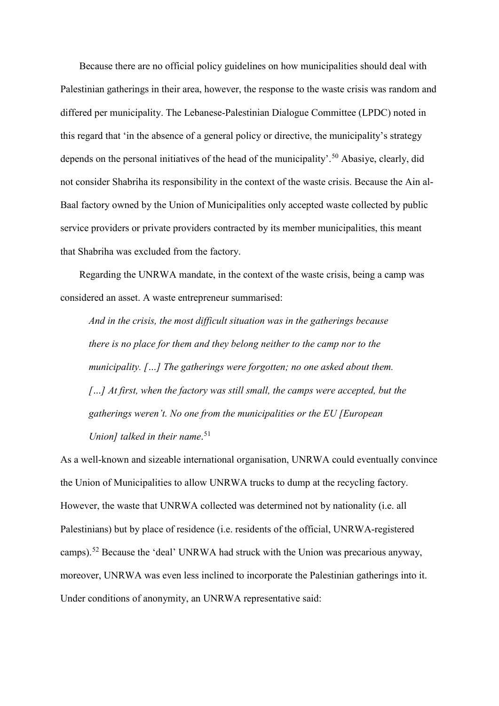Because there are no official policy guidelines on how municipalities should deal with Palestinian gatherings in their area, however, the response to the waste crisis was random and differed per municipality. The Lebanese-Palestinian Dialogue Committee (LPDC) noted in this regard that 'in the absence of a general policy or directive, the municipality's strategy depends on the personal initiatives of the head of the municipality'.<sup>[50](#page-17-7)</sup> Abasiye, clearly, did not consider Shabriha its responsibility in the context of the waste crisis. Because the Ain al-Baal factory owned by the Union of Municipalities only accepted waste collected by public service providers or private providers contracted by its member municipalities, this meant that Shabriha was excluded from the factory.

Regarding the UNRWA mandate, in the context of the waste crisis, being a camp was considered an asset. A waste entrepreneur summarised:

*And in the crisis, the most difficult situation was in the gatherings because there is no place for them and they belong neither to the camp nor to the municipality. […] The gatherings were forgotten; no one asked about them. […] At first, when the factory was still small, the camps were accepted, but the gatherings weren't. No one from the municipalities or the EU [European Union] talked in their name*. [51](#page-17-8)

As a well-known and sizeable international organisation, UNRWA could eventually convince the Union of Municipalities to allow UNRWA trucks to dump at the recycling factory. However, the waste that UNRWA collected was determined not by nationality (i.e. all Palestinians) but by place of residence (i.e. residents of the official, UNRWA-registered camps).<sup>[52](#page-17-9)</sup> Because the 'deal' UNRWA had struck with the Union was precarious anyway, moreover, UNRWA was even less inclined to incorporate the Palestinian gatherings into it. Under conditions of anonymity, an UNRWA representative said: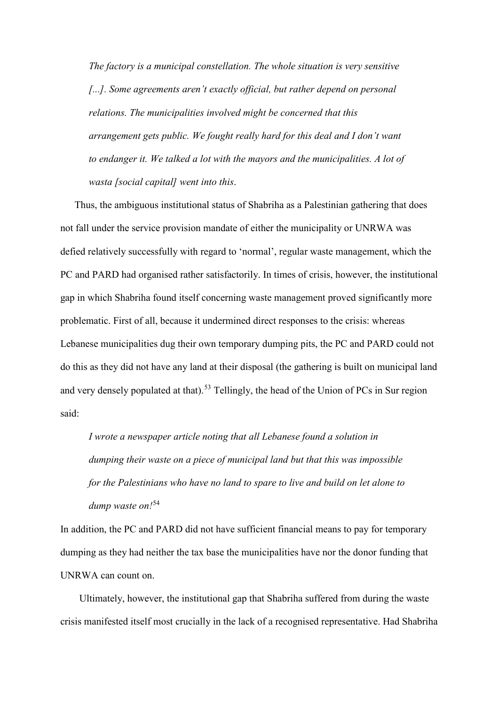*The factory is a municipal constellation. The whole situation is very sensitive*  [...]. Some agreements aren't exactly official, but rather depend on personal *relations. The municipalities involved might be concerned that this arrangement gets public. We fought really hard for this deal and I don't want to endanger it. We talked a lot with the mayors and the municipalities. A lot of wasta [social capital] went into this*.

Thus, the ambiguous institutional status of Shabriha as a Palestinian gathering that does not fall under the service provision mandate of either the municipality or UNRWA was defied relatively successfully with regard to 'normal', regular waste management, which the PC and PARD had organised rather satisfactorily. In times of crisis, however, the institutional gap in which Shabriha found itself concerning waste management proved significantly more problematic. First of all, because it undermined direct responses to the crisis: whereas Lebanese municipalities dug their own temporary dumping pits, the PC and PARD could not do this as they did not have any land at their disposal (the gathering is built on municipal land and very densely populated at that).<sup>[53](#page-17-10)</sup> Tellingly, the head of the Union of PCs in Sur region said:

*I wrote a newspaper article noting that all Lebanese found a solution in dumping their waste on a piece of municipal land but that this was impossible for the Palestinians who have no land to spare to live and build on let alone to dump waste on!*[54](#page-17-11)

<span id="page-13-0"></span>In addition, the PC and PARD did not have sufficient financial means to pay for temporary dumping as they had neither the tax base the municipalities have nor the donor funding that UNRWA can count on.

<span id="page-13-1"></span>Ultimately, however, the institutional gap that Shabriha suffered from during the waste crisis manifested itself most crucially in the lack of a recognised representative. Had Shabriha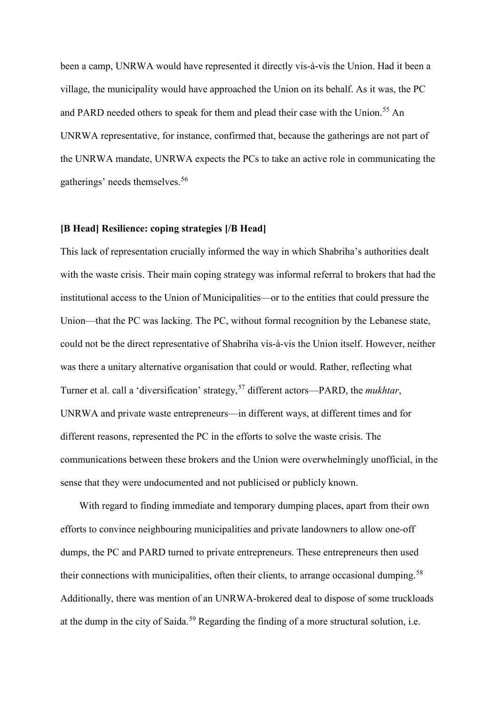<span id="page-14-2"></span><span id="page-14-1"></span><span id="page-14-0"></span>been a camp, UNRWA would have represented it directly vis-à-vis the Union. Had it been a village, the municipality would have approached the Union on its behalf. As it was, the PC and PARD needed others to speak for them and plead their case with the Union.<sup>[55](#page-17-12)</sup> An UNRWA representative, for instance, confirmed that, because the gatherings are not part of the UNRWA mandate, UNRWA expects the PCs to take an active role in communicating the gatherings' needs themselves. [56](#page-17-13)

#### <span id="page-14-5"></span><span id="page-14-4"></span><span id="page-14-3"></span>**[B Head] Resilience: coping strategies [/B Head]**

<span id="page-14-6"></span>This lack of representation crucially informed the way in which Shabriha's authorities dealt with the waste crisis. Their main coping strategy was informal referral to brokers that had the institutional access to the Union of Municipalities—or to the entities that could pressure the Union—that the PC was lacking. The PC, without formal recognition by the Lebanese state, could not be the direct representative of Shabriha vis-à-vis the Union itself. However, neither was there a unitary alternative organisation that could or would. Rather, reflecting what Turner et al. call a 'diversification' strategy,[57](#page-17-14) different actors—PARD, the *mukhtar*, UNRWA and private waste entrepreneurs—in different ways, at different times and for different reasons, represented the PC in the efforts to solve the waste crisis. The communications between these brokers and the Union were overwhelmingly unofficial, in the sense that they were undocumented and not publicised or publicly known.

<span id="page-14-11"></span><span id="page-14-10"></span><span id="page-14-9"></span><span id="page-14-8"></span><span id="page-14-7"></span>With regard to finding immediate and temporary dumping places, apart from their own efforts to convince neighbouring municipalities and private landowners to allow one-off dumps, the PC and PARD turned to private entrepreneurs. These entrepreneurs then used their connections with municipalities, often their clients, to arrange occasional dumping.<sup>[58](#page-17-15)</sup> Additionally, there was mention of an UNRWA-brokered deal to dispose of some truckloads at the dump in the city of Saida.<sup>[59](#page-17-16)</sup> Regarding the finding of a more structural solution, i.e.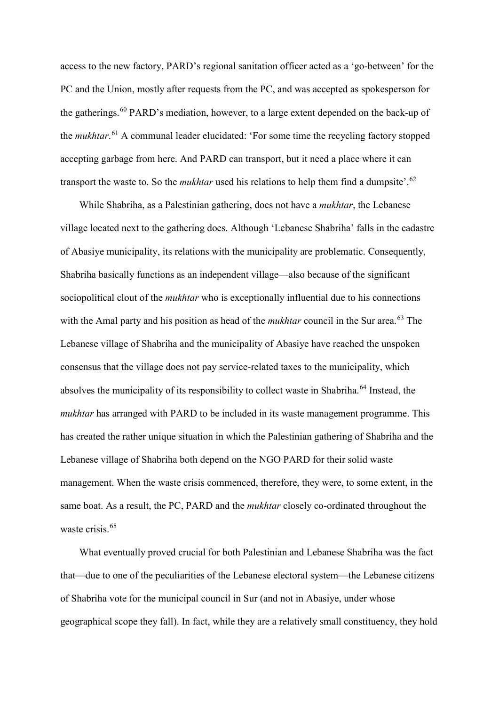<span id="page-15-2"></span><span id="page-15-1"></span><span id="page-15-0"></span>access to the new factory, PARD's regional sanitation officer acted as a 'go-between' for the PC and the Union, mostly after requests from the PC, and was accepted as spokesperson for the gatherings.<sup>[60](#page-18-0)</sup> PARD's mediation, however, to a large extent depended on the back-up of the *mukhtar*. [61](#page-18-1) A communal leader elucidated: 'For some time the recycling factory stopped accepting garbage from here. And PARD can transport, but it need a place where it can transport the waste to. So the *mukhtar* used his relations to help them find a dumpsite'.<sup>[62](#page-18-2)</sup>

<span id="page-15-8"></span><span id="page-15-7"></span><span id="page-15-6"></span><span id="page-15-5"></span><span id="page-15-4"></span><span id="page-15-3"></span>While Shabriha, as a Palestinian gathering, does not have a *mukhtar*, the Lebanese village located next to the gathering does. Although 'Lebanese Shabriha' falls in the cadastre of Abasiye municipality, its relations with the municipality are problematic. Consequently, Shabriha basically functions as an independent village—also because of the significant sociopolitical clout of the *mukhtar* who is exceptionally influential due to his connections with the Amal party and his position as head of the *mukhtar* council in the Sur area. [63](#page-18-3) The Lebanese village of Shabriha and the municipality of Abasiye have reached the unspoken consensus that the village does not pay service-related taxes to the municipality, which absolves the municipality of its responsibility to collect waste in Shabriha.<sup>[64](#page-18-4)</sup> Instead, the *mukhtar* has arranged with PARD to be included in its waste management programme. This has created the rather unique situation in which the Palestinian gathering of Shabriha and the Lebanese village of Shabriha both depend on the NGO PARD for their solid waste management. When the waste crisis commenced, therefore, they were, to some extent, in the same boat. As a result, the PC, PARD and the *mukhtar* closely co-ordinated throughout the waste crisis. [65](#page-18-5)

<span id="page-15-12"></span><span id="page-15-11"></span><span id="page-15-10"></span><span id="page-15-9"></span>What eventually proved crucial for both Palestinian and Lebanese Shabriha was the fact that—due to one of the peculiarities of the Lebanese electoral system—the Lebanese citizens of Shabriha vote for the municipal council in Sur (and not in Abasiye, under whose geographical scope they fall). In fact, while they are a relatively small constituency, they hold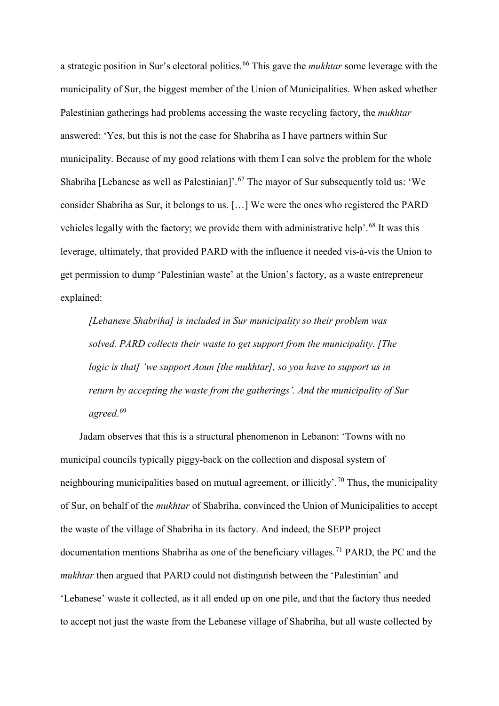<span id="page-16-3"></span><span id="page-16-2"></span><span id="page-16-1"></span><span id="page-16-0"></span>a strategic position in Sur's electoral politics.[66](#page-18-6) This gave the *mukhtar* some leverage with the municipality of Sur, the biggest member of the Union of Municipalities. When asked whether Palestinian gatherings had problems accessing the waste recycling factory, the *mukhtar* answered: 'Yes, but this is not the case for Shabriha as I have partners within Sur municipality. Because of my good relations with them I can solve the problem for the whole Shabriha [Lebanese as well as Palestinian]'.<sup>[67](#page-18-7)</sup> The mayor of Sur subsequently told us: 'We consider Shabriha as Sur, it belongs to us. […] We were the ones who registered the PARD vehicles legally with the factory; we provide them with administrative help'.<sup>[68](#page-18-8)</sup> It was this leverage, ultimately, that provided PARD with the influence it needed vis-à-vis the Union to get permission to dump 'Palestinian waste' at the Union's factory, as a waste entrepreneur explained:

<span id="page-16-4"></span>*[Lebanese Shabriha] is included in Sur municipality so their problem was solved. PARD collects their waste to get support from the municipality. [The logic is that] 'we support Aoun [the mukhtar], so you have to support us in return by accepting the waste from the gatherings'. And the municipality of Sur agreed*. [69](#page-18-9)

<span id="page-16-14"></span><span id="page-16-13"></span><span id="page-16-12"></span><span id="page-16-11"></span><span id="page-16-10"></span><span id="page-16-9"></span><span id="page-16-8"></span><span id="page-16-7"></span><span id="page-16-6"></span><span id="page-16-5"></span>Jadam observes that this is a structural phenomenon in Lebanon: 'Towns with no municipal councils typically piggy-back on the collection and disposal system of neighbouring municipalities based on mutual agreement, or illicitly'.<sup>[70](#page-18-10)</sup> Thus, the municipality of Sur, on behalf of the *mukhtar* of Shabriha, convinced the Union of Municipalities to accept the waste of the village of Shabriha in its factory. And indeed, the SEPP project documentation mentions Shabriha as one of the beneficiary villages.<sup>[71](#page-18-11)</sup> PARD, the PC and the *mukhtar* then argued that PARD could not distinguish between the 'Palestinian' and 'Lebanese' waste it collected, as it all ended up on one pile, and that the factory thus needed to accept not just the waste from the Lebanese village of Shabriha, but all waste collected by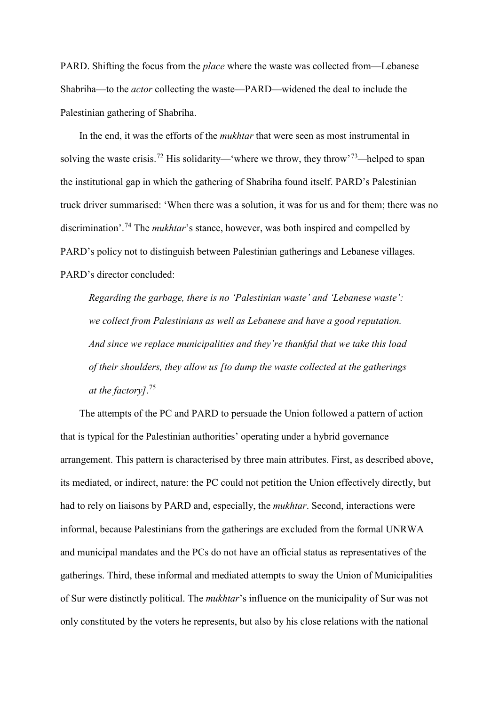<span id="page-17-0"></span>PARD. Shifting the focus from the *place* where the waste was collected from—Lebanese Shabriha—to the *actor* collecting the waste—PARD—widened the deal to include the Palestinian gathering of Shabriha.

<span id="page-17-4"></span><span id="page-17-3"></span><span id="page-17-2"></span><span id="page-17-1"></span>In the end, it was the efforts of the *mukhtar* that were seen as most instrumental in solving the waste crisis.[72](#page-18-12) His solidarity—'where we throw, they throw'[73](#page-18-13)*—*helped to span the institutional gap in which the gathering of Shabriha found itself. PARD's Palestinian truck driver summarised: 'When there was a solution, it was for us and for them; there was no discrimination'.[74](#page-18-14) The *mukhtar*'s stance, however, was both inspired and compelled by PARD's policy not to distinguish between Palestinian gatherings and Lebanese villages. PARD's director concluded:

<span id="page-17-6"></span><span id="page-17-5"></span>*Regarding the garbage, there is no 'Palestinian waste' and 'Lebanese waste': we collect from Palestinians as well as Lebanese and have a good reputation. And since we replace municipalities and they're thankful that we take this load of their shoulders, they allow us [to dump the waste collected at the gatherings at the factory]*. [75](#page-18-15)

<span id="page-17-16"></span><span id="page-17-15"></span><span id="page-17-14"></span><span id="page-17-13"></span><span id="page-17-12"></span><span id="page-17-11"></span><span id="page-17-10"></span><span id="page-17-9"></span><span id="page-17-8"></span><span id="page-17-7"></span>The attempts of the PC and PARD to persuade the Union followed a pattern of action that is typical for the Palestinian authorities' operating under a hybrid governance arrangement. This pattern is characterised by three main attributes. First, as described above, its mediated, or indirect, nature: the PC could not petition the Union effectively directly, but had to rely on liaisons by PARD and, especially, the *mukhtar*. Second, interactions were informal, because Palestinians from the gatherings are excluded from the formal UNRWA and municipal mandates and the PCs do not have an official status as representatives of the gatherings. Third, these informal and mediated attempts to sway the Union of Municipalities of Sur were distinctly political. The *mukhtar*'s influence on the municipality of Sur was not only constituted by the voters he represents, but also by his close relations with the national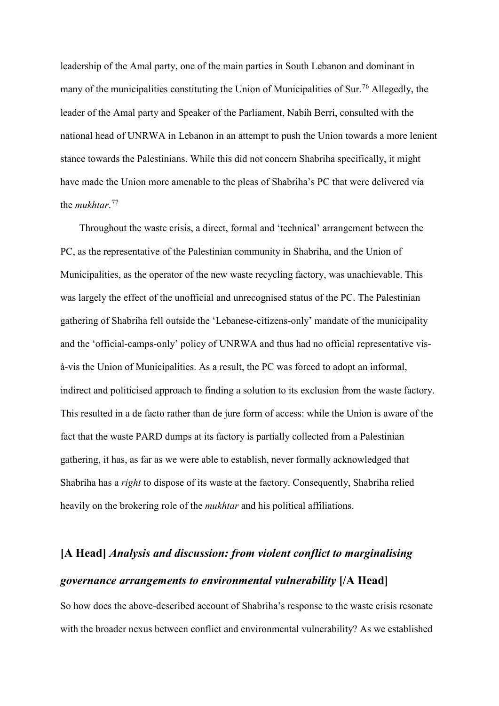<span id="page-18-1"></span><span id="page-18-0"></span>leadership of the Amal party, one of the main parties in South Lebanon and dominant in many of the municipalities constituting the Union of Municipalities of Sur. [76](#page-18-16) Allegedly, the leader of the Amal party and Speaker of the Parliament, Nabih Berri, consulted with the national head of UNRWA in Lebanon in an attempt to push the Union towards a more lenient stance towards the Palestinians. While this did not concern Shabriha specifically, it might have made the Union more amenable to the pleas of Shabriha's PC that were delivered via the *mukhtar*. [77](#page-18-17)

<span id="page-18-9"></span><span id="page-18-8"></span><span id="page-18-7"></span><span id="page-18-6"></span><span id="page-18-5"></span><span id="page-18-4"></span><span id="page-18-3"></span><span id="page-18-2"></span>Throughout the waste crisis, a direct, formal and 'technical' arrangement between the PC, as the representative of the Palestinian community in Shabriha, and the Union of Municipalities, as the operator of the new waste recycling factory, was unachievable. This was largely the effect of the unofficial and unrecognised status of the PC. The Palestinian gathering of Shabriha fell outside the 'Lebanese-citizens-only' mandate of the municipality and the 'official-camps-only' policy of UNRWA and thus had no official representative visà-vis the Union of Municipalities. As a result, the PC was forced to adopt an informal, indirect and politicised approach to finding a solution to its exclusion from the waste factory. This resulted in a de facto rather than de jure form of access: while the Union is aware of the fact that the waste PARD dumps at its factory is partially collected from a Palestinian gathering, it has, as far as we were able to establish, never formally acknowledged that Shabriha has a *right* to dispose of its waste at the factory. Consequently, Shabriha relied heavily on the brokering role of the *mukhtar* and his political affiliations.

## <span id="page-18-15"></span><span id="page-18-14"></span><span id="page-18-13"></span><span id="page-18-12"></span><span id="page-18-11"></span><span id="page-18-10"></span>**[A Head]** *Analysis and discussion: from violent conflict to marginalising governance arrangements to environmental vulnerability* **[/A Head]**

<span id="page-18-17"></span><span id="page-18-16"></span>So how does the above-described account of Shabriha's response to the waste crisis resonate with the broader nexus between conflict and environmental vulnerability? As we established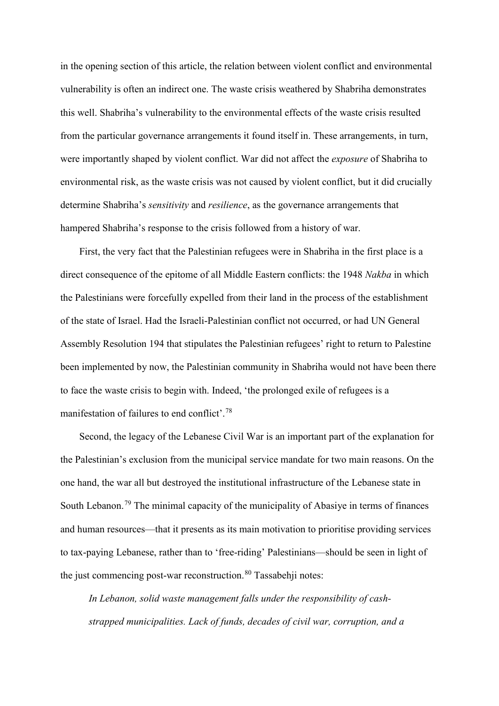<span id="page-19-2"></span><span id="page-19-1"></span><span id="page-19-0"></span>in the opening section of this article, the relation between violent conflict and environmental vulnerability is often an indirect one. The waste crisis weathered by Shabriha demonstrates this well. Shabriha's vulnerability to the environmental effects of the waste crisis resulted from the particular governance arrangements it found itself in. These arrangements, in turn, were importantly shaped by violent conflict. War did not affect the *exposure* of Shabriha to environmental risk, as the waste crisis was not caused by violent conflict, but it did crucially determine Shabriha's *sensitivity* and *resilience*, as the governance arrangements that hampered Shabriha's response to the crisis followed from a history of war.

<span id="page-19-6"></span><span id="page-19-5"></span><span id="page-19-4"></span><span id="page-19-3"></span>First, the very fact that the Palestinian refugees were in Shabriha in the first place is a direct consequence of the epitome of all Middle Eastern conflicts: the 1948 *Nakba* in which the Palestinians were forcefully expelled from their land in the process of the establishment of the state of Israel. Had the Israeli-Palestinian conflict not occurred, or had UN General Assembly Resolution 194 that stipulates the Palestinian refugees' right to return to Palestine been implemented by now, the Palestinian community in Shabriha would not have been there to face the waste crisis to begin with. Indeed, 'the prolonged exile of refugees is a manifestation of failures to end conflict'.<sup>[78](#page-19-0)</sup>

<span id="page-19-10"></span><span id="page-19-9"></span><span id="page-19-8"></span><span id="page-19-7"></span>Second, the legacy of the Lebanese Civil War is an important part of the explanation for the Palestinian's exclusion from the municipal service mandate for two main reasons. On the one hand, the war all but destroyed the institutional infrastructure of the Lebanese state in South Lebanon.[79](#page-19-1) The minimal capacity of the municipality of Abasiye in terms of finances and human resources—that it presents as its main motivation to prioritise providing services to tax-paying Lebanese, rather than to 'free-riding' Palestinians—should be seen in light of the just commencing post-war reconstruction. $80$  Tassabehji notes:

<span id="page-19-14"></span><span id="page-19-13"></span><span id="page-19-12"></span><span id="page-19-11"></span>*In Lebanon, solid waste management falls under the responsibility of cashstrapped municipalities. Lack of funds, decades of civil war, corruption, and a*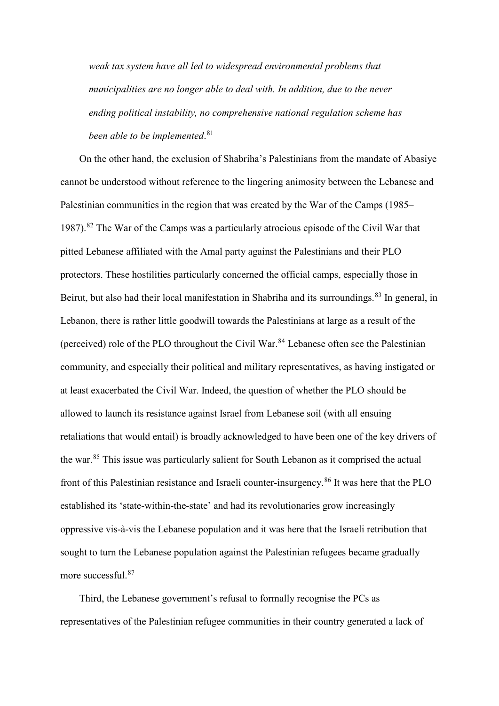<span id="page-20-0"></span>*weak tax system have all led to widespread environmental problems that municipalities are no longer able to deal with. In addition, due to the never ending political instability, no comprehensive national regulation scheme has been able to be implemented*. [81](#page-19-3)

<span id="page-20-4"></span><span id="page-20-3"></span><span id="page-20-2"></span><span id="page-20-1"></span>On the other hand, the exclusion of Shabriha's Palestinians from the mandate of Abasiye cannot be understood without reference to the lingering animosity between the Lebanese and Palestinian communities in the region that was created by the War of the Camps (1985– 1987).<sup>[82](#page-19-4)</sup> The War of the Camps was a particularly atrocious episode of the Civil War that pitted Lebanese affiliated with the Amal party against the Palestinians and their PLO protectors. These hostilities particularly concerned the official camps, especially those in Beirut, but also had their local manifestation in Shabriha and its surroundings.<sup>[83](#page-19-5)</sup> In general, in Lebanon, there is rather little goodwill towards the Palestinians at large as a result of the (perceived) role of the PLO throughout the Civil War.<sup>[84](#page-19-6)</sup> Lebanese often see the Palestinian community, and especially their political and military representatives, as having instigated or at least exacerbated the Civil War. Indeed, the question of whether the PLO should be allowed to launch its resistance against Israel from Lebanese soil (with all ensuing retaliations that would entail) is broadly acknowledged to have been one of the key drivers of the war. [85](#page-19-7) This issue was particularly salient for South Lebanon as it comprised the actual front of this Palestinian resistance and Israeli counter-insurgency.<sup>[86](#page-19-8)</sup> It was here that the PLO established its 'state-within-the-state' and had its revolutionaries grow increasingly oppressive vis-à-vis the Lebanese population and it was here that the Israeli retribution that sought to turn the Lebanese population against the Palestinian refugees became gradually more successful. [87](#page-19-9)

<span id="page-20-12"></span><span id="page-20-11"></span><span id="page-20-10"></span><span id="page-20-9"></span><span id="page-20-8"></span><span id="page-20-7"></span><span id="page-20-6"></span><span id="page-20-5"></span>Third, the Lebanese government's refusal to formally recognise the PCs as representatives of the Palestinian refugee communities in their country generated a lack of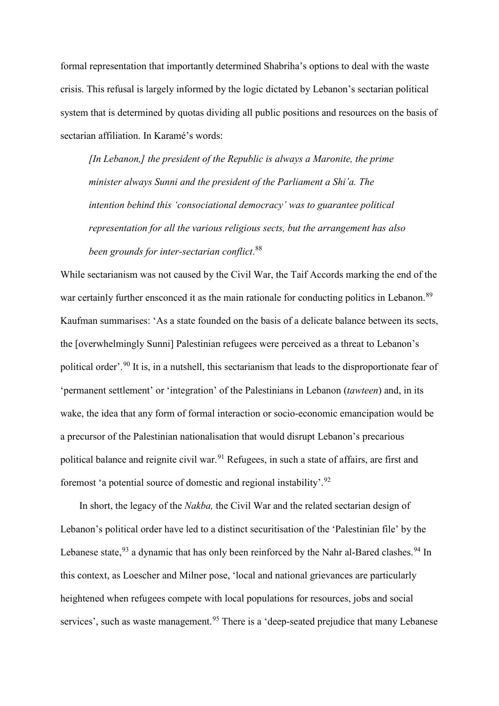formal representation that importantly determined Shabriha's options to deal with the waste crisis. This refusal is largely informed by the logic dictated by Lebanon's sectarian political system that is determined by quotas dividing all public positions and resources on the basis of sectarian affiliation. In Karamé's words:

<span id="page-21-2"></span><span id="page-21-1"></span><span id="page-21-0"></span>*[In Lebanon,] the president of the Republic is always a Maronite, the prime minister always Sunni and the president of the Parliament a Shi'a. The intention behind this 'consociational democracy' was to guarantee political representation for all the various religious sects, but the arrangement has also been grounds for inter-sectarian conflict*. [88](#page-19-10)

<span id="page-21-10"></span><span id="page-21-9"></span><span id="page-21-8"></span><span id="page-21-7"></span><span id="page-21-6"></span><span id="page-21-5"></span><span id="page-21-4"></span><span id="page-21-3"></span>While sectarianism was not caused by the Civil War, the Taif Accords marking the end of the war certainly further ensconced it as the main rationale for conducting politics in Lebanon.<sup>[89](#page-19-11)</sup> Kaufman summarises: 'As a state founded on the basis of a delicate balance between its sects, the [overwhelmingly Sunni] Palestinian refugees were perceived as a threat to Lebanon's political order'.[90](#page-19-12) It is, in a nutshell, this sectarianism that leads to the disproportionate fear of 'permanent settlement' or 'integration' of the Palestinians in Lebanon (*tawteen*) and, in its wake, the idea that any form of formal interaction or socio-economic emancipation would be a precursor of the Palestinian nationalisation that would disrupt Lebanon's precarious political balance and reignite civil war.<sup>[91](#page-19-13)</sup> Refugees, in such a state of affairs, are first and foremost 'a potential source of domestic and regional instability'.[92](#page-19-14)

<span id="page-21-19"></span><span id="page-21-18"></span><span id="page-21-17"></span><span id="page-21-16"></span><span id="page-21-15"></span><span id="page-21-14"></span><span id="page-21-13"></span><span id="page-21-12"></span><span id="page-21-11"></span>In short, the legacy of the *Nakba,* the Civil War and the related sectarian design of Lebanon's political order have led to a distinct securitisation of the 'Palestinian file' by the Lebanese state,  $93$  a dynamic that has only been reinforced by the Nahr al-Bared clashes.  $94$  In this context, as Loescher and Milner pose, 'local and national grievances are particularly heightened when refugees compete with local populations for resources, jobs and social services', such as waste management.<sup>[95](#page-20-2)</sup> There is a 'deep-seated prejudice that many Lebanese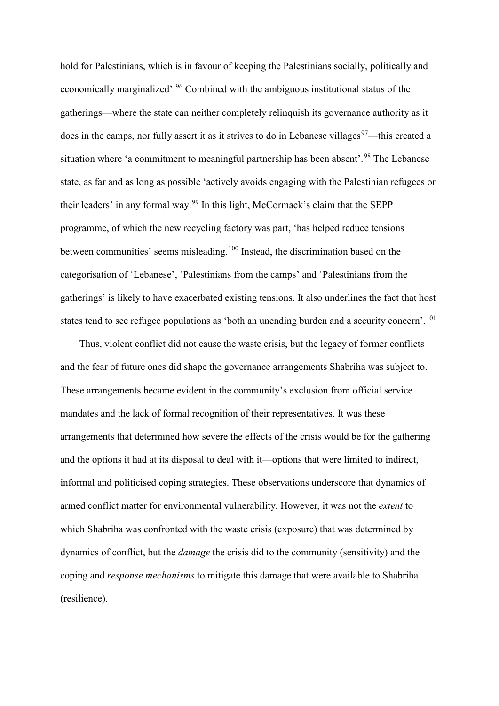<span id="page-22-3"></span><span id="page-22-2"></span><span id="page-22-1"></span><span id="page-22-0"></span>hold for Palestinians, which is in favour of keeping the Palestinians socially, politically and economically marginalized'.<sup>[96](#page-20-3)</sup> Combined with the ambiguous institutional status of the gatherings—where the state can neither completely relinquish its governance authority as it does in the camps, nor fully assert it as it strives to do in Lebanese villages<sup>[97](#page-20-4)</sup>—this created a situation where 'a commitment to meaningful partnership has been absent'.<sup>[98](#page-20-5)</sup> The Lebanese state, as far and as long as possible 'actively avoids engaging with the Palestinian refugees or their leaders' in any formal way.[99](#page-20-6) In this light, McCormack's claim that the SEPP programme, of which the new recycling factory was part, 'has helped reduce tensions between communities' seems misleading.<sup>[100](#page-20-7)</sup> Instead, the discrimination based on the categorisation of 'Lebanese', 'Palestinians from the camps' and 'Palestinians from the gatherings' is likely to have exacerbated existing tensions. It also underlines the fact that host states tend to see refugee populations as 'both an unending burden and a security concern'.<sup>[101](#page-20-8)</sup>

<span id="page-22-5"></span><span id="page-22-4"></span>Thus, violent conflict did not cause the waste crisis, but the legacy of former conflicts and the fear of future ones did shape the governance arrangements Shabriha was subject to. These arrangements became evident in the community's exclusion from official service mandates and the lack of formal recognition of their representatives. It was these arrangements that determined how severe the effects of the crisis would be for the gathering and the options it had at its disposal to deal with it—options that were limited to indirect, informal and politicised coping strategies. These observations underscore that dynamics of armed conflict matter for environmental vulnerability. However, it was not the *extent* to which Shabriha was confronted with the waste crisis (exposure) that was determined by dynamics of conflict, but the *damage* the crisis did to the community (sensitivity) and the coping and *response mechanisms* to mitigate this damage that were available to Shabriha (resilience).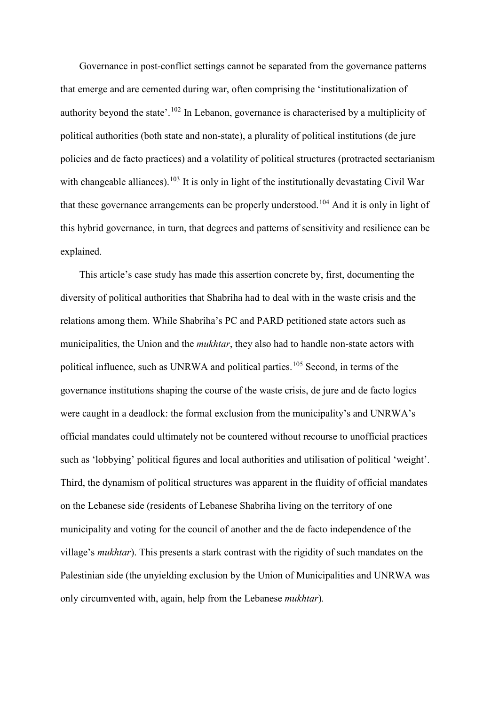Governance in post-conflict settings cannot be separated from the governance patterns that emerge and are cemented during war, often comprising the 'institutionalization of authority beyond the state'.<sup>[102](#page-20-9)</sup> In Lebanon, governance is characterised by a multiplicity of political authorities (both state and non-state), a plurality of political institutions (de jure policies and de facto practices) and a volatility of political structures (protracted sectarianism with changeable alliances).<sup>[103](#page-20-10)</sup> It is only in light of the institutionally devastating Civil War that these governance arrangements can be properly understood.<sup>[104](#page-20-11)</sup> And it is only in light of this hybrid governance, in turn, that degrees and patterns of sensitivity and resilience can be explained.

This article's case study has made this assertion concrete by, first, documenting the diversity of political authorities that Shabriha had to deal with in the waste crisis and the relations among them. While Shabriha's PC and PARD petitioned state actors such as municipalities, the Union and the *mukhtar*, they also had to handle non-state actors with political influence, such as UNRWA and political parties.<sup>[105](#page-20-12)</sup> Second, in terms of the governance institutions shaping the course of the waste crisis, de jure and de facto logics were caught in a deadlock: the formal exclusion from the municipality's and UNRWA's official mandates could ultimately not be countered without recourse to unofficial practices such as 'lobbying' political figures and local authorities and utilisation of political 'weight'. Third, the dynamism of political structures was apparent in the fluidity of official mandates on the Lebanese side (residents of Lebanese Shabriha living on the territory of one municipality and voting for the council of another and the de facto independence of the village's *mukhtar*). This presents a stark contrast with the rigidity of such mandates on the Palestinian side (the unyielding exclusion by the Union of Municipalities and UNRWA was only circumvented with, again, help from the Lebanese *mukhtar*)*.*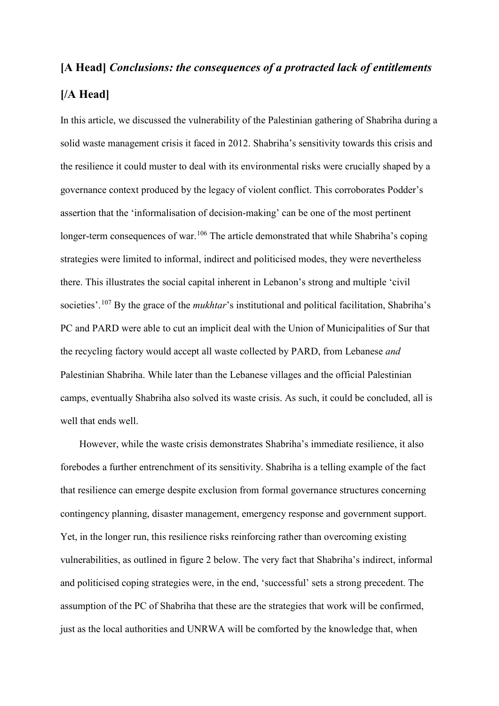# **[A Head]** *Conclusions: the consequences of a protracted lack of entitlements* **[/A Head]**

In this article, we discussed the vulnerability of the Palestinian gathering of Shabriha during a solid waste management crisis it faced in 2012. Shabriha's sensitivity towards this crisis and the resilience it could muster to deal with its environmental risks were crucially shaped by a governance context produced by the legacy of violent conflict. This corroborates Podder's assertion that the 'informalisation of decision-making' can be one of the most pertinent longer-term consequences of war.<sup>[106](#page-21-0)</sup> The article demonstrated that while Shabriha's coping strategies were limited to informal, indirect and politicised modes, they were nevertheless there. This illustrates the social capital inherent in Lebanon's strong and multiple 'civil societies'.<sup>[107](#page-21-1)</sup> By the grace of the *mukhtar's* institutional and political facilitation, Shabriha's PC and PARD were able to cut an implicit deal with the Union of Municipalities of Sur that the recycling factory would accept all waste collected by PARD, from Lebanese *and* Palestinian Shabriha. While later than the Lebanese villages and the official Palestinian camps, eventually Shabriha also solved its waste crisis. As such, it could be concluded, all is well that ends well.

However, while the waste crisis demonstrates Shabriha's immediate resilience, it also forebodes a further entrenchment of its sensitivity. Shabriha is a telling example of the fact that resilience can emerge despite exclusion from formal governance structures concerning contingency planning, disaster management, emergency response and government support. Yet, in the longer run, this resilience risks reinforcing rather than overcoming existing vulnerabilities, as outlined in figure 2 below. The very fact that Shabriha's indirect, informal and politicised coping strategies were, in the end, 'successful' sets a strong precedent. The assumption of the PC of Shabriha that these are the strategies that work will be confirmed, just as the local authorities and UNRWA will be comforted by the knowledge that, when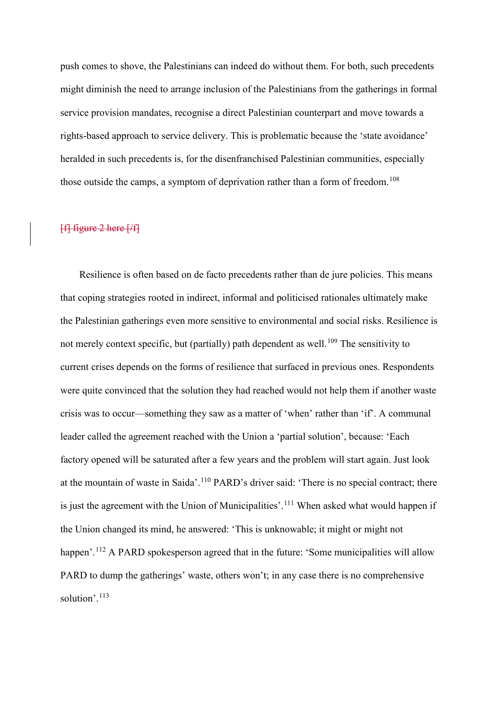push comes to shove, the Palestinians can indeed do without them. For both, such precedents might diminish the need to arrange inclusion of the Palestinians from the gatherings in formal service provision mandates, recognise a direct Palestinian counterpart and move towards a rights-based approach to service delivery. This is problematic because the 'state avoidance' heralded in such precedents is, for the disenfranchised Palestinian communities, especially those outside the camps, a symptom of deprivation rather than a form of freedom.<sup>[108](#page-21-2)</sup>

### [f] figure 2 here [/f]

Resilience is often based on de facto precedents rather than de jure policies. This means that coping strategies rooted in indirect, informal and politicised rationales ultimately make the Palestinian gatherings even more sensitive to environmental and social risks. Resilience is not merely context specific, but (partially) path dependent as well.<sup>[109](#page-21-3)</sup> The sensitivity to current crises depends on the forms of resilience that surfaced in previous ones. Respondents were quite convinced that the solution they had reached would not help them if another waste crisis was to occur—something they saw as a matter of 'when' rather than 'if'. A communal leader called the agreement reached with the Union a 'partial solution', because: 'Each factory opened will be saturated after a few years and the problem will start again. Just look at the mountain of waste in Saida'.[110](#page-21-4) PARD's driver said: 'There is no special contract; there is just the agreement with the Union of Municipalities'.<sup>[111](#page-21-5)</sup> When asked what would happen if the Union changed its mind, he answered: 'This is unknowable; it might or might not happen'.<sup>[112](#page-21-6)</sup> A PARD spokesperson agreed that in the future: 'Some municipalities will allow PARD to dump the gatherings' waste, others won't; in any case there is no comprehensive solution'.<sup>[113](#page-21-7)</sup>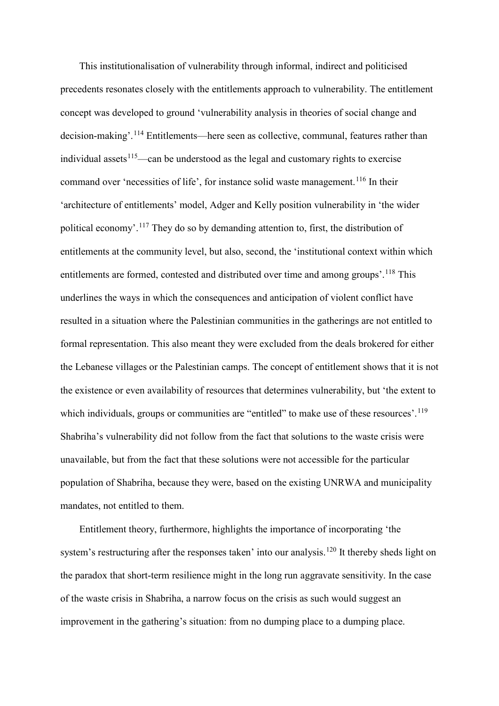This institutionalisation of vulnerability through informal, indirect and politicised precedents resonates closely with the entitlements approach to vulnerability. The entitlement concept was developed to ground 'vulnerability analysis in theories of social change and decision-making'.<sup>[114](#page-21-8)</sup> Entitlements—here seen as collective, communal, features rather than individual assets<sup>[115](#page-21-9)</sup>—can be understood as the legal and customary rights to exercise command over 'necessities of life', for instance solid waste management.<sup>[116](#page-21-10)</sup> In their 'architecture of entitlements' model, Adger and Kelly position vulnerability in 'the wider political economy'.<sup>[117](#page-21-11)</sup> They do so by demanding attention to, first, the distribution of entitlements at the community level, but also, second, the 'institutional context within which entitlements are formed, contested and distributed over time and among groups'.<sup>[118](#page-21-12)</sup> This underlines the ways in which the consequences and anticipation of violent conflict have resulted in a situation where the Palestinian communities in the gatherings are not entitled to formal representation. This also meant they were excluded from the deals brokered for either the Lebanese villages or the Palestinian camps. The concept of entitlement shows that it is not the existence or even availability of resources that determines vulnerability, but 'the extent to which individuals, groups or communities are "entitled" to make use of these resources'.<sup>[119](#page-21-13)</sup> Shabriha's vulnerability did not follow from the fact that solutions to the waste crisis were unavailable, but from the fact that these solutions were not accessible for the particular population of Shabriha, because they were, based on the existing UNRWA and municipality mandates, not entitled to them.

Entitlement theory, furthermore, highlights the importance of incorporating 'the system's restructuring after the responses taken' into our analysis.<sup>[120](#page-21-14)</sup> It thereby sheds light on the paradox that short-term resilience might in the long run aggravate sensitivity. In the case of the waste crisis in Shabriha, a narrow focus on the crisis as such would suggest an improvement in the gathering's situation: from no dumping place to a dumping place.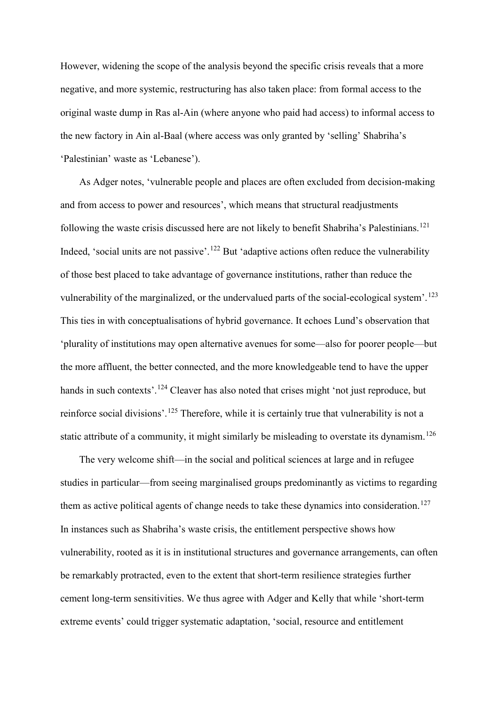However, widening the scope of the analysis beyond the specific crisis reveals that a more negative, and more systemic, restructuring has also taken place: from formal access to the original waste dump in Ras al-Ain (where anyone who paid had access) to informal access to the new factory in Ain al-Baal (where access was only granted by 'selling' Shabriha's 'Palestinian' waste as 'Lebanese').

As Adger notes, 'vulnerable people and places are often excluded from decision-making and from access to power and resources', which means that structural readjustments following the waste crisis discussed here are not likely to benefit Shabriha's Palestinians.<sup>[121](#page-21-15)</sup> Indeed, 'social units are not passive'.<sup>[122](#page-21-16)</sup> But 'adaptive actions often reduce the vulnerability of those best placed to take advantage of governance institutions, rather than reduce the vulnerability of the marginalized, or the undervalued parts of the social-ecological system'.<sup>[123](#page-21-17)</sup> This ties in with conceptualisations of hybrid governance. It echoes Lund's observation that 'plurality of institutions may open alternative avenues for some—also for poorer people—but the more affluent, the better connected, and the more knowledgeable tend to have the upper hands in such contexts'.<sup>[124](#page-21-18)</sup> Cleaver has also noted that crises might 'not just reproduce, but reinforce social divisions'.<sup>[125](#page-21-19)</sup> Therefore, while it is certainly true that vulnerability is not a static attribute of a community, it might similarly be misleading to overstate its dynamism.<sup>[126](#page-22-0)</sup>

The very welcome shift—in the social and political sciences at large and in refugee studies in particular—from seeing marginalised groups predominantly as victims to regarding them as active political agents of change needs to take these dynamics into consideration.<sup>[127](#page-22-1)</sup> In instances such as Shabriha's waste crisis, the entitlement perspective shows how vulnerability, rooted as it is in institutional structures and governance arrangements, can often be remarkably protracted, even to the extent that short-term resilience strategies further cement long-term sensitivities. We thus agree with Adger and Kelly that while 'short-term extreme events' could trigger systematic adaptation, 'social, resource and entitlement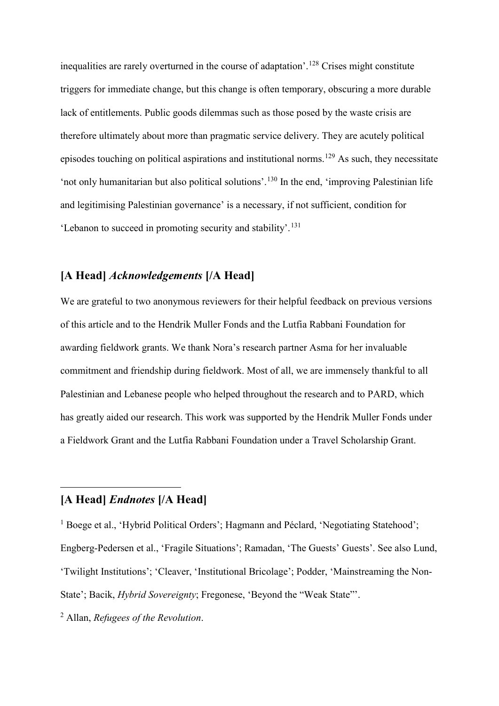inequalities are rarely overturned in the course of adaptation'.[128](#page-22-2) Crises might constitute triggers for immediate change, but this change is often temporary, obscuring a more durable lack of entitlements. Public goods dilemmas such as those posed by the waste crisis are therefore ultimately about more than pragmatic service delivery. They are acutely political episodes touching on political aspirations and institutional norms.<sup>[129](#page-22-3)</sup> As such, they necessitate 'not only humanitarian but also political solutions'. [130](#page-22-4) In the end, 'improving Palestinian life and legitimising Palestinian governance' is a necessary, if not sufficient, condition for 'Lebanon to succeed in promoting security and stability'. [131](#page-22-5)

### **[A Head]** *Acknowledgements* **[/A Head]**

We are grateful to two anonymous reviewers for their helpful feedback on previous versions of this article and to the Hendrik Muller Fonds and the Lutfia Rabbani Foundation for awarding fieldwork grants. We thank Nora's research partner Asma for her invaluable commitment and friendship during fieldwork. Most of all, we are immensely thankful to all Palestinian and Lebanese people who helped throughout the research and to PARD, which has greatly aided our research. This work was supported by the Hendrik Muller Fonds under a Fieldwork Grant and the Lutfia Rabbani Foundation under a Travel Scholarship Grant.

### **[A Head]** *Endnotes* **[/A Head]**

-

<sup>1</sup> Boege et al., 'Hybrid Political Orders'; Hagmann and Péclard, 'Negotiating Statehood'; Engberg-Pedersen et al., 'Fragile Situations'; Ramadan, 'The Guests' Guests'. See also Lund, 'Twilight Institutions'; 'Cleaver, 'Institutional Bricolage'; Podder, 'Mainstreaming the Non-State'; Bacik, *Hybrid Sovereignty*; Fregonese, 'Beyond the "Weak State"'.

<sup>2</sup> Allan, *Refugees of the Revolution*.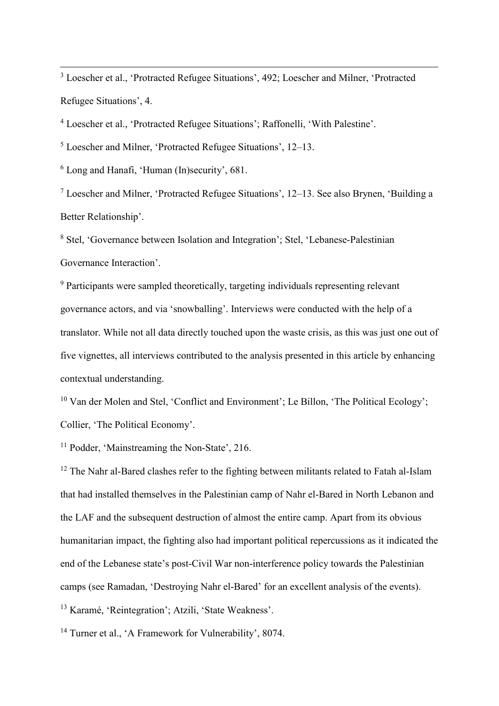3 Loescher et al., 'Protracted Refugee Situations', 492; Loescher and Milner, 'Protracted Refugee Situations', 4.

<sup>4</sup> Loescher et al., 'Protracted Refugee Situations'; Raffonelli, 'With Palestine'.

<sup>5</sup> Loescher and Milner, 'Protracted Refugee Situations', 12–13.

 $6$  Long and Hanafi, 'Human (In)security', 681.

<sup>7</sup> Loescher and Milner, 'Protracted Refugee Situations', 12–13. See also Brynen, 'Building a Better Relationship'.

<sup>8</sup> Stel, 'Governance between Isolation and Integration'; Stel, 'Lebanese-Palestinian Governance Interaction'.

 $9$  Participants were sampled theoretically, targeting individuals representing relevant governance actors, and via 'snowballing'. Interviews were conducted with the help of a translator. While not all data directly touched upon the waste crisis, as this was just one out of five vignettes, all interviews contributed to the analysis presented in this article by enhancing contextual understanding.

<sup>10</sup> Van der Molen and Stel, 'Conflict and Environment'; Le Billon, 'The Political Ecology'; Collier, 'The Political Economy'.

<sup>11</sup> Podder, 'Mainstreaming the Non-State', 216.

<sup>12</sup> The Nahr al-Bared clashes refer to the fighting between militants related to Fatah al-Islam that had installed themselves in the Palestinian camp of Nahr el-Bared in North Lebanon and the LAF and the subsequent destruction of almost the entire camp. Apart from its obvious humanitarian impact, the fighting also had important political repercussions as it indicated the end of the Lebanese state's post-Civil War non-interference policy towards the Palestinian camps (see Ramadan, 'Destroying Nahr el-Bared' for an excellent analysis of the events). <sup>13</sup> Karamé, 'Reintegration'; Atzili, 'State Weakness'.

<sup>14</sup> Turner et al., 'A Framework for Vulnerability', 8074.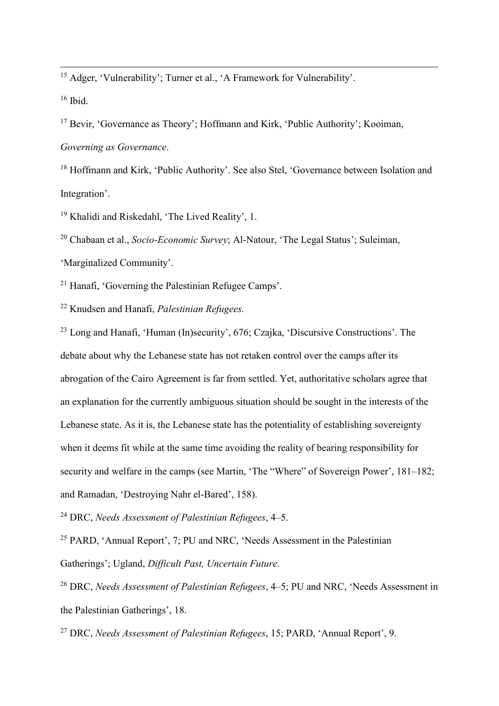<sup>15</sup> Adger, 'Vulnerability'; Turner et al., 'A Framework for Vulnerability'.

 $16$  Ibid.

<sup>17</sup> Bevir, 'Governance as Theory'; Hoffmann and Kirk, 'Public Authority'; Kooiman, *Governing as Governance*.

<sup>18</sup> Hoffmann and Kirk, 'Public Authority'. See also Stel, 'Governance between Isolation and Integration'.

<sup>19</sup> Khalidi and Riskedahl, 'The Lived Reality', 1.

<sup>20</sup> Chabaan et al., *Socio-Economic Survey*; Al-Natour, 'The Legal Status'; Suleiman,

'Marginalized Community'.

<sup>21</sup> Hanafi, 'Governing the Palestinian Refugee Camps'.

<sup>22</sup> Knudsen and Hanafi, *Palestinian Refugees.*

<sup>23</sup> Long and Hanafi, 'Human (In)security', 676; Czajka, 'Discursive Constructions'. The debate about why the Lebanese state has not retaken control over the camps after its abrogation of the Cairo Agreement is far from settled. Yet, authoritative scholars agree that an explanation for the currently ambiguous situation should be sought in the interests of the Lebanese state. As it is, the Lebanese state has the potentiality of establishing sovereignty when it deems fit while at the same time avoiding the reality of bearing responsibility for security and welfare in the camps (see Martin, 'The "Where" of Sovereign Power', 181–182; and Ramadan, 'Destroying Nahr el-Bared', 158).

<sup>24</sup> DRC, *Needs Assessment of Palestinian Refugees*, 4–5.

<sup>25</sup> PARD, 'Annual Report', 7; PU and NRC, 'Needs Assessment in the Palestinian Gatherings'; Ugland, *Difficult Past, Uncertain Future.*

<sup>26</sup> DRC, *Needs Assessment of Palestinian Refugees*, 4–5; PU and NRC, 'Needs Assessment in the Palestinian Gatherings', 18.

<sup>27</sup> DRC, *Needs Assessment of Palestinian Refugees*, 15; PARD, 'Annual Report', 9.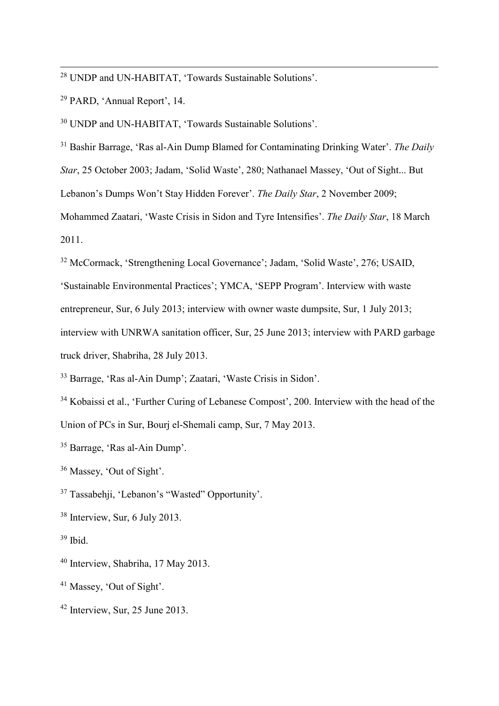28 UNDP and UN-HABITAT, 'Towards Sustainable Solutions'.

<sup>29</sup> PARD, 'Annual Report', 14.

<sup>30</sup> UNDP and UN-HABITAT, 'Towards Sustainable Solutions'.

<sup>31</sup> Bashir Barrage, 'Ras al-Ain Dump Blamed for Contaminating Drinking Water'. *The Daily Star*, 25 October 2003; Jadam, 'Solid Waste', 280; Nathanael Massey, 'Out of Sight... But

Lebanon's Dumps Won't Stay Hidden Forever'. *The Daily Star*, 2 November 2009;

Mohammed Zaatari, 'Waste Crisis in Sidon and Tyre Intensifies'. *The Daily Star*, 18 March 2011.

<sup>32</sup> McCormack, 'Strengthening Local Governance'; Jadam, 'Solid Waste', 276; USAID,

'Sustainable Environmental Practices'; YMCA, 'SEPP Program'. Interview with waste

entrepreneur, Sur, 6 July 2013; interview with owner waste dumpsite, Sur, 1 July 2013;

interview with UNRWA sanitation officer, Sur, 25 June 2013; interview with PARD garbage truck driver, Shabriha, 28 July 2013.

<sup>33</sup> Barrage, 'Ras al-Ain Dump'; Zaatari, 'Waste Crisis in Sidon'.

<sup>34</sup> Kobaissi et al., 'Further Curing of Lebanese Compost', 200. Interview with the head of the Union of PCs in Sur, Bourj el-Shemali camp, Sur, 7 May 2013.

<sup>35</sup> Barrage, 'Ras al-Ain Dump'.

<sup>36</sup> Massey, 'Out of Sight'.

<sup>37</sup> Tassabehji, 'Lebanon's "Wasted" Opportunity'.

<sup>38</sup> Interview, Sur, 6 July 2013.

 $39$  Ibid.

<sup>40</sup> Interview, Shabriha, 17 May 2013.

<sup>41</sup> Massey, 'Out of Sight'.

<sup>42</sup> Interview, Sur, 25 June 2013.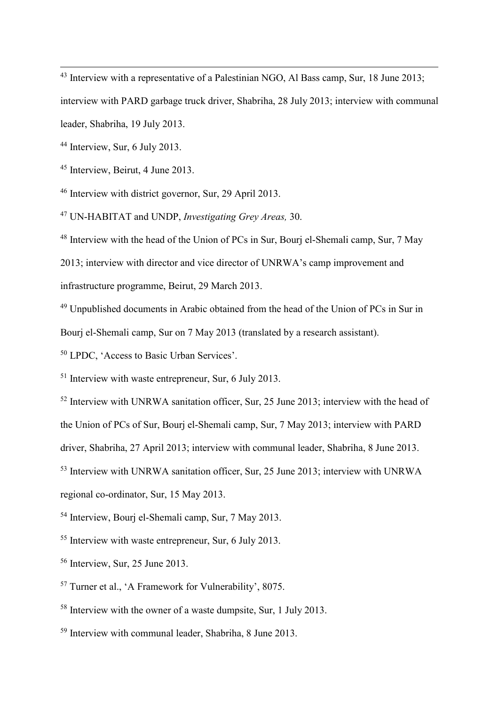<sup>43</sup> Interview with a representative of a Palestinian NGO, Al Bass camp, Sur, 18 June 2013; interview with PARD garbage truck driver, Shabriha, 28 July 2013; interview with communal leader, Shabriha, 19 July 2013.

<sup>44</sup> Interview, Sur, 6 July 2013.

<sup>45</sup> Interview, Beirut, 4 June 2013.

<sup>46</sup> Interview with district governor, Sur, 29 April 2013.

<sup>47</sup> UN-HABITAT and UNDP, *Investigating Grey Areas,* 30.

<sup>48</sup> Interview with the head of the Union of PCs in Sur, Bourj el-Shemali camp, Sur, 7 May 2013; interview with director and vice director of UNRWA's camp improvement and infrastructure programme, Beirut, 29 March 2013.

<sup>49</sup> Unpublished documents in Arabic obtained from the head of the Union of PCs in Sur in Bourj el-Shemali camp, Sur on 7 May 2013 (translated by a research assistant).

<sup>50</sup> LPDC, 'Access to Basic Urban Services'.

<sup>51</sup> Interview with waste entrepreneur, Sur, 6 July 2013.

 $52$  Interview with UNRWA sanitation officer, Sur, 25 June 2013; interview with the head of

the Union of PCs of Sur, Bourj el-Shemali camp, Sur, 7 May 2013; interview with PARD

driver, Shabriha, 27 April 2013; interview with communal leader, Shabriha, 8 June 2013.

<sup>53</sup> Interview with UNRWA sanitation officer, Sur, 25 June 2013; interview with UNRWA

regional co-ordinator, Sur, 15 May 2013.

<sup>54</sup> Interview, Bourj el-Shemali camp, Sur, 7 May 2013.

<sup>55</sup> Interview with waste entrepreneur, Sur, 6 July 2013.

- <sup>56</sup> Interview, Sur, 25 June 2013.
- <sup>57</sup> Turner et al., 'A Framework for Vulnerability', 8075.
- <sup>58</sup> Interview with the owner of a waste dumpsite, Sur, 1 July 2013.
- <sup>59</sup> Interview with communal leader, Shabriha, 8 June 2013.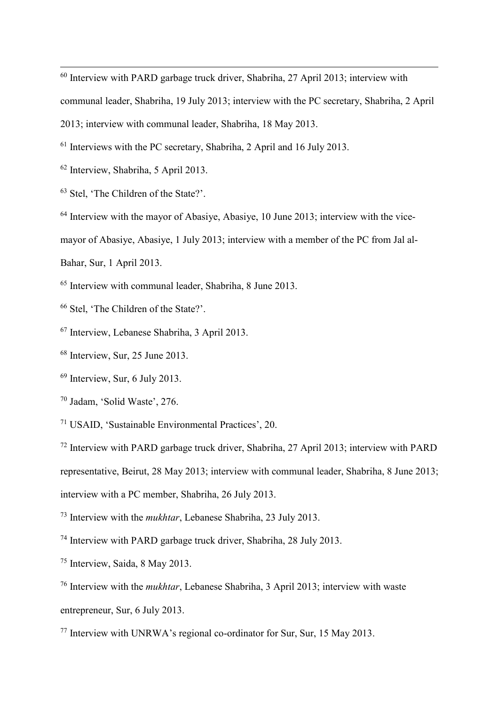Interview with PARD garbage truck driver, Shabriha, 27 April 2013; interview with communal leader, Shabriha, 19 July 2013; interview with the PC secretary, Shabriha, 2 April 2013; interview with communal leader, Shabriha, 18 May 2013.

Interviews with the PC secretary, Shabriha, 2 April and 16 July 2013.

- Interview, Shabriha, 5 April 2013.
- Stel, 'The Children of the State?'.

Interview with the mayor of Abasive, Abasive, 10 June 2013; interview with the vice-

mayor of Abasiye, Abasiye, 1 July 2013; interview with a member of the PC from Jal al-

Bahar, Sur, 1 April 2013.

Interview with communal leader, Shabriha, 8 June 2013.

- Stel, 'The Children of the State?'.
- Interview, Lebanese Shabriha, 3 April 2013.
- Interview, Sur, 25 June 2013.
- Interview, Sur, 6 July 2013.
- Jadam, 'Solid Waste', 276.
- USAID, 'Sustainable Environmental Practices', 20.

Interview with PARD garbage truck driver, Shabriha, 27 April 2013; interview with PARD

representative, Beirut, 28 May 2013; interview with communal leader, Shabriha, 8 June 2013;

interview with a PC member, Shabriha, 26 July 2013.

Interview with the *mukhtar*, Lebanese Shabriha, 23 July 2013.

- Interview with PARD garbage truck driver, Shabriha, 28 July 2013.
- Interview, Saida, 8 May 2013.

 Interview with the *mukhtar*, Lebanese Shabriha, 3 April 2013; interview with waste entrepreneur, Sur, 6 July 2013.

Interview with UNRWA's regional co-ordinator for Sur, Sur, 15 May 2013.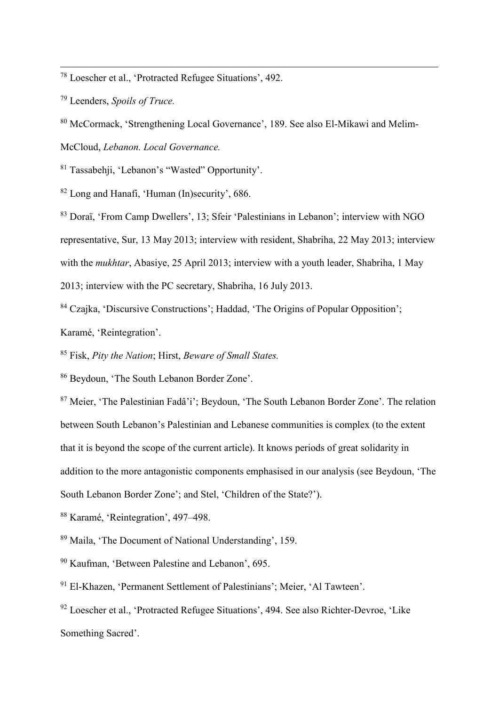78 Loescher et al., 'Protracted Refugee Situations', 492.

<sup>79</sup> Leenders, *Spoils of Truce.*

<sup>80</sup> McCormack, 'Strengthening Local Governance', 189. See also El-Mikawi and Melim-McCloud, *Lebanon. Local Governance.*

<sup>81</sup> Tassabehji, 'Lebanon's "Wasted" Opportunity'.

<sup>82</sup> Long and Hanafi, 'Human (In)security', 686.

<sup>83</sup> Doraï, 'From Camp Dwellers', 13; Sfeir 'Palestinians in Lebanon'; interview with NGO representative, Sur, 13 May 2013; interview with resident, Shabriha, 22 May 2013; interview with the *mukhtar*, Abasiye, 25 April 2013; interview with a youth leader, Shabriha, 1 May 2013; interview with the PC secretary, Shabriha, 16 July 2013.

<sup>84</sup> Czajka, 'Discursive Constructions'; Haddad, 'The Origins of Popular Opposition';

Karamé, 'Reintegration'.

<sup>85</sup> Fisk, *Pity the Nation*; Hirst, *Beware of Small States.*

<sup>86</sup> Beydoun, 'The South Lebanon Border Zone'.

<sup>87</sup> Meier, 'The Palestinian Fadâ'i'; Beydoun, 'The South Lebanon Border Zone'. The relation between South Lebanon's Palestinian and Lebanese communities is complex (to the extent that it is beyond the scope of the current article). It knows periods of great solidarity in addition to the more antagonistic components emphasised in our analysis (see Beydoun, 'The South Lebanon Border Zone'; and Stel, 'Children of the State?').

<sup>88</sup> Karamé, 'Reintegration', 497–498.

<sup>89</sup> Maila, 'The Document of National Understanding', 159.

<sup>90</sup> Kaufman, 'Between Palestine and Lebanon', 695.

<sup>91</sup> El-Khazen, 'Permanent Settlement of Palestinians'; Meier, 'Al Tawteen'.

<sup>92</sup> Loescher et al., 'Protracted Refugee Situations', 494. See also Richter-Devroe, 'Like Something Sacred'.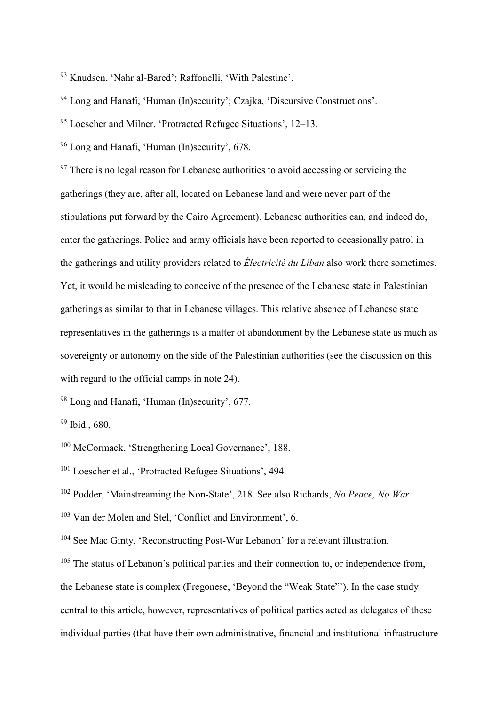93 Knudsen, 'Nahr al-Bared'; Raffonelli, 'With Palestine'.

<sup>94</sup> Long and Hanafi, 'Human (In)security'; Czajka, 'Discursive Constructions'.

<sup>95</sup> Loescher and Milner, 'Protracted Refugee Situations', 12–13.

<sup>96</sup> Long and Hanafi, 'Human (In)security', 678.

<sup>97</sup> There is no legal reason for Lebanese authorities to avoid accessing or servicing the gatherings (they are, after all, located on Lebanese land and were never part of the stipulations put forward by the Cairo Agreement). Lebanese authorities can, and indeed do, enter the gatherings. Police and army officials have been reported to occasionally patrol in the gatherings and utility providers related to *Électricité du Liban* also work there sometimes. Yet, it would be misleading to conceive of the presence of the Lebanese state in Palestinian gatherings as similar to that in Lebanese villages. This relative absence of Lebanese state representatives in the gatherings is a matter of abandonment by the Lebanese state as much as sovereignty or autonomy on the side of the Palestinian authorities (see the discussion on this with regard to the official camps in note 24).

<sup>98</sup> Long and Hanafi, 'Human (In)security', 677.

<sup>99</sup> Ibid., 680.

<sup>100</sup> McCormack, 'Strengthening Local Governance', 188.

<sup>101</sup> Loescher et al., 'Protracted Refugee Situations', 494.

<sup>102</sup> Podder, 'Mainstreaming the Non-State', 218. See also Richards, *No Peace, No War.*

<sup>103</sup> Van der Molen and Stel, 'Conflict and Environment', 6.

<sup>104</sup> See Mac Ginty, 'Reconstructing Post-War Lebanon' for a relevant illustration.

<sup>105</sup> The status of Lebanon's political parties and their connection to, or independence from, the Lebanese state is complex (Fregonese, 'Beyond the "Weak State"'). In the case study central to this article, however, representatives of political parties acted as delegates of these individual parties (that have their own administrative, financial and institutional infrastructure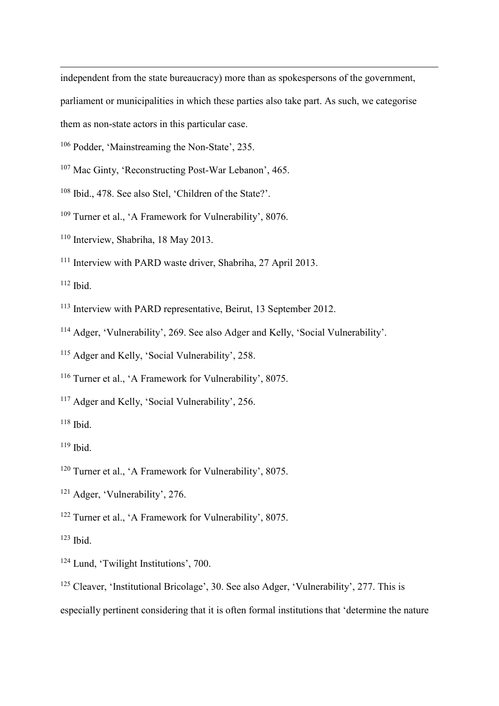independent from the state bureaucracy) more than as spokespersons of the government,

parliament or municipalities in which these parties also take part. As such, we categorise

them as non-state actors in this particular case.

- <sup>106</sup> Podder, 'Mainstreaming the Non-State', 235.
- <sup>107</sup> Mac Ginty, 'Reconstructing Post-War Lebanon', 465.
- <sup>108</sup> Ibid., 478. See also Stel, 'Children of the State?'.
- <sup>109</sup> Turner et al., 'A Framework for Vulnerability', 8076.
- <sup>110</sup> Interview, Shabriha, 18 May 2013.
- <sup>111</sup> Interview with PARD waste driver, Shabriha, 27 April 2013.

 $112$  Ibid.

-

- <sup>113</sup> Interview with PARD representative, Beirut, 13 September 2012.
- <sup>114</sup> Adger, 'Vulnerability', 269. See also Adger and Kelly, 'Social Vulnerability'.
- <sup>115</sup> Adger and Kelly, 'Social Vulnerability', 258.
- <sup>116</sup> Turner et al., 'A Framework for Vulnerability', 8075.
- <sup>117</sup> Adger and Kelly, 'Social Vulnerability', 256.
- $118$  Ibid.
- $119$  Ibid.
- <sup>120</sup> Turner et al., 'A Framework for Vulnerability', 8075.
- <sup>121</sup> Adger, 'Vulnerability', 276.
- <sup>122</sup> Turner et al., 'A Framework for Vulnerability', 8075.

 $123$  Ibid.

- <sup>124</sup> Lund, 'Twilight Institutions', 700.
- <sup>125</sup> Cleaver, 'Institutional Bricolage', 30. See also Adger, 'Vulnerability', 277. This is especially pertinent considering that it is often formal institutions that 'determine the nature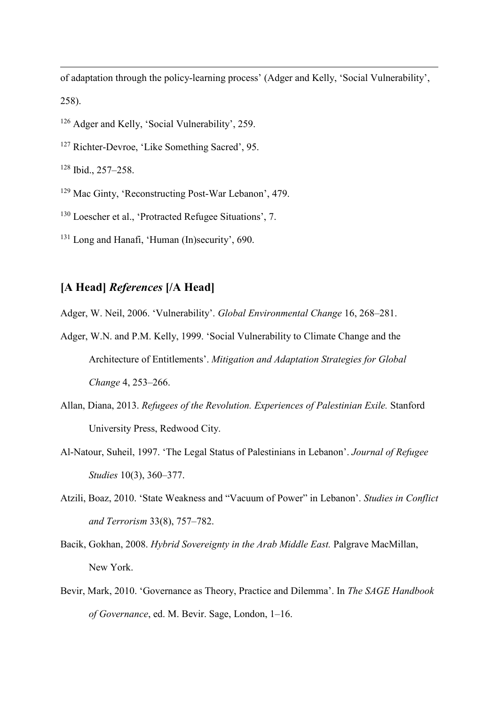of adaptation through the policy-learning process' (Adger and Kelly, 'Social Vulnerability', 258).

- <sup>126</sup> Adger and Kelly, 'Social Vulnerability', 259.
- <sup>127</sup> Richter-Devroe, 'Like Something Sacred', 95.

<sup>128</sup> Ibid., 257–258.

-

- <sup>129</sup> Mac Ginty, 'Reconstructing Post-War Lebanon', 479.
- <sup>130</sup> Loescher et al., 'Protracted Refugee Situations', 7.
- <sup>131</sup> Long and Hanafi, 'Human (In)security', 690.

### **[A Head]** *References* **[/A Head]**

Adger, W. Neil, 2006. 'Vulnerability'. *Global Environmental Change* 16, 268–281.

- Adger, W.N. and P.M. Kelly, 1999. 'Social Vulnerability to Climate Change and the Architecture of Entitlements'. *Mitigation and Adaptation Strategies for Global Change* 4, 253–266.
- Allan, Diana, 2013. *Refugees of the Revolution. Experiences of Palestinian Exile.* Stanford University Press, Redwood City.
- Al-Natour, Suheil, 1997. 'The Legal Status of Palestinians in Lebanon'. *Journal of Refugee Studies* 10(3), 360–377.
- Atzili, Boaz, 2010. 'State Weakness and "Vacuum of Power" in Lebanon'. *Studies in Conflict and Terrorism* 33(8), 757–782.
- Bacik, Gokhan, 2008. *Hybrid Sovereignty in the Arab Middle East.* Palgrave MacMillan, New York.
- Bevir, Mark, 2010. 'Governance as Theory, Practice and Dilemma'. In *The SAGE Handbook of Governance*, ed. M. Bevir. Sage, London, 1–16.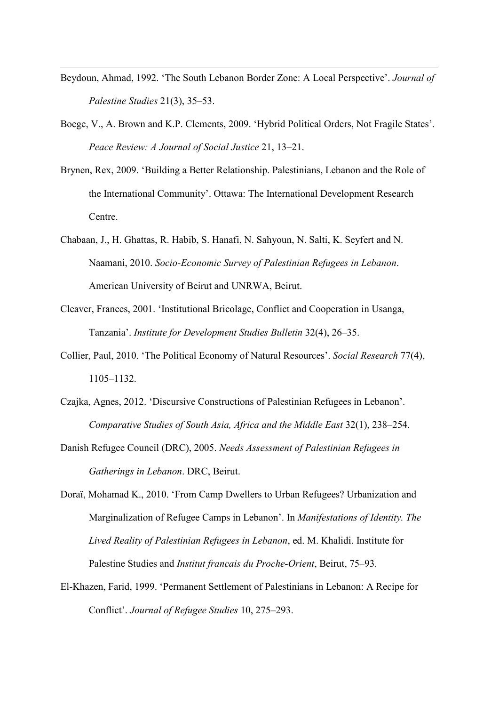Beydoun, Ahmad, 1992. 'The South Lebanon Border Zone: A Local Perspective'. *Journal of Palestine Studies* 21(3), 35–53.

- Boege, V., A. Brown and K.P. Clements, 2009. 'Hybrid Political Orders, Not Fragile States'. *Peace Review: A Journal of Social Justice* 21, 13–21.
- Brynen, Rex, 2009. 'Building a Better Relationship. Palestinians, Lebanon and the Role of the International Community'. Ottawa: The International Development Research Centre.
- Chabaan, J., H. Ghattas, R. Habib, S. Hanafi, N. Sahyoun, N. Salti, K. Seyfert and N. Naamani, 2010. *Socio-Economic Survey of Palestinian Refugees in Lebanon*. American University of Beirut and UNRWA, Beirut.
- Cleaver, Frances, 2001. 'Institutional Bricolage, Conflict and Cooperation in Usanga, Tanzania'. *Institute for Development Studies Bulletin* 32(4), 26–35.
- Collier, Paul, 2010. 'The Political Economy of Natural Resources'. *Social Research* 77(4), 1105–1132.
- Czajka, Agnes, 2012. 'Discursive Constructions of Palestinian Refugees in Lebanon'. *Comparative Studies of South Asia, Africa and the Middle East* 32(1), 238–254.
- Danish Refugee Council (DRC), 2005. *Needs Assessment of Palestinian Refugees in Gatherings in Lebanon*. DRC, Beirut.
- Doraï, Mohamad K., 2010. 'From Camp Dwellers to Urban Refugees? Urbanization and Marginalization of Refugee Camps in Lebanon'. In *Manifestations of Identity. The Lived Reality of Palestinian Refugees in Lebanon*, ed. M. Khalidi. Institute for Palestine Studies and *Institut francais du Proche-Orient*, Beirut, 75–93.
- El-Khazen, Farid, 1999. 'Permanent Settlement of Palestinians in Lebanon: A Recipe for Conflict'. *Journal of Refugee Studies* 10, 275–293.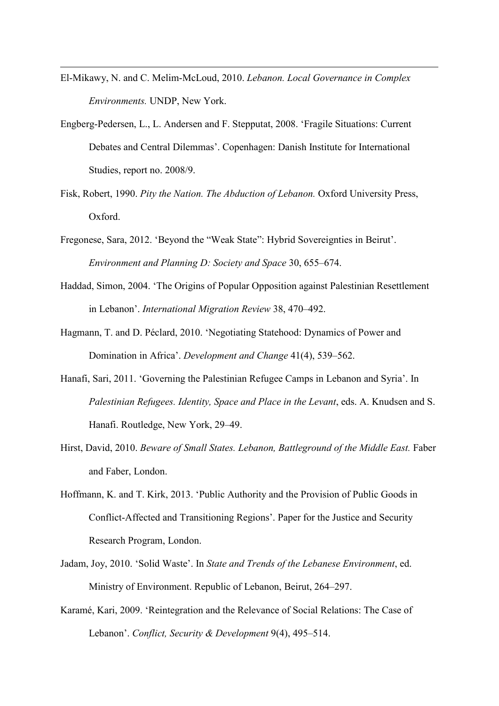El-Mikawy, N. and C. Melim-McLoud, 2010. *Lebanon. Local Governance in Complex Environments.* UNDP, New York.

- Engberg-Pedersen, L., L. Andersen and F. Stepputat, 2008. 'Fragile Situations: Current Debates and Central Dilemmas'. Copenhagen: Danish Institute for International Studies, report no. 2008/9.
- Fisk, Robert, 1990. *Pity the Nation. The Abduction of Lebanon.* Oxford University Press, Oxford.
- Fregonese, Sara, 2012. 'Beyond the "Weak State": Hybrid Sovereignties in Beirut'. *Environment and Planning D: Society and Space* 30, 655–674.
- Haddad, Simon, 2004. 'The Origins of Popular Opposition against Palestinian Resettlement in Lebanon'. *International Migration Review* 38, 470–492.
- Hagmann, T. and D. Péclard, 2010. 'Negotiating Statehood: Dynamics of Power and Domination in Africa'. *Development and Change* 41(4), 539–562.
- Hanafi, Sari, 2011. 'Governing the Palestinian Refugee Camps in Lebanon and Syria'. In *Palestinian Refugees. Identity, Space and Place in the Levant*, eds. A. Knudsen and S. Hanafi. Routledge, New York, 29–49.
- Hirst, David, 2010. *Beware of Small States. Lebanon, Battleground of the Middle East.* Faber and Faber, London.
- Hoffmann, K. and T. Kirk, 2013. 'Public Authority and the Provision of Public Goods in Conflict-Affected and Transitioning Regions'. Paper for the Justice and Security Research Program, London.
- Jadam, Joy, 2010. 'Solid Waste'. In *State and Trends of the Lebanese Environment*, ed. Ministry of Environment. Republic of Lebanon, Beirut, 264–297.
- Karamé, Kari, 2009. 'Reintegration and the Relevance of Social Relations: The Case of Lebanon'. *Conflict, Security & Development* 9(4), 495–514.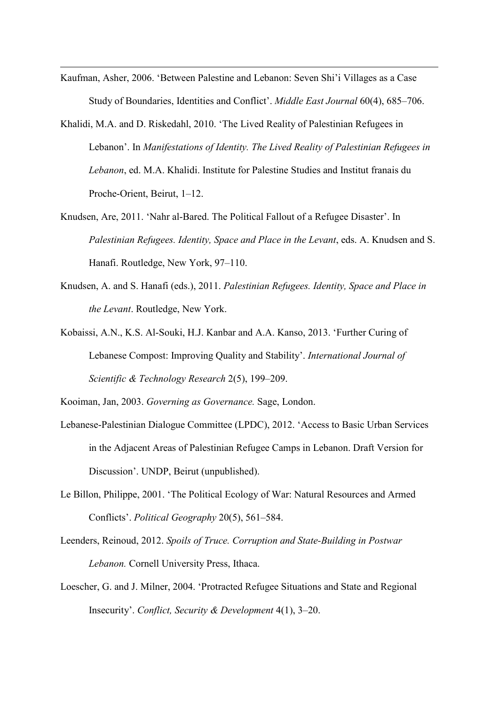Kaufman, Asher, 2006. 'Between Palestine and Lebanon: Seven Shi'i Villages as a Case Study of Boundaries, Identities and Conflict'. *Middle East Journal* 60(4), 685–706.

-

- Khalidi, M.A. and D. Riskedahl, 2010. 'The Lived Reality of Palestinian Refugees in Lebanon'. In *Manifestations of Identity. The Lived Reality of Palestinian Refugees in Lebanon*, ed. M.A. Khalidi. Institute for Palestine Studies and Institut franais du Proche-Orient, Beirut, 1–12.
- Knudsen, Are, 2011. 'Nahr al-Bared. The Political Fallout of a Refugee Disaster'. In *Palestinian Refugees. Identity, Space and Place in the Levant*, eds. A. Knudsen and S. Hanafi. Routledge, New York, 97–110.
- Knudsen, A. and S. Hanafi (eds.), 2011. *Palestinian Refugees. Identity, Space and Place in the Levant*. Routledge, New York.
- Kobaissi, A.N., K.S. Al-Souki, H.J. Kanbar and A.A. Kanso, 2013. 'Further Curing of Lebanese Compost: Improving Quality and Stability'. *International Journal of Scientific & Technology Research* 2(5), 199–209.

Kooiman, Jan, 2003. *Governing as Governance.* Sage, London.

- Lebanese-Palestinian Dialogue Committee (LPDC), 2012. 'Access to Basic Urban Services in the Adjacent Areas of Palestinian Refugee Camps in Lebanon. Draft Version for Discussion'. UNDP, Beirut (unpublished).
- Le Billon, Philippe, 2001. 'The Political Ecology of War: Natural Resources and Armed Conflicts'. *Political Geography* 20(5), 561–584.
- Leenders, Reinoud, 2012. *Spoils of Truce. Corruption and State-Building in Postwar Lebanon.* Cornell University Press, Ithaca.
- Loescher, G. and J. Milner, 2004. 'Protracted Refugee Situations and State and Regional Insecurity'. *Conflict, Security & Development* 4(1), 3–20.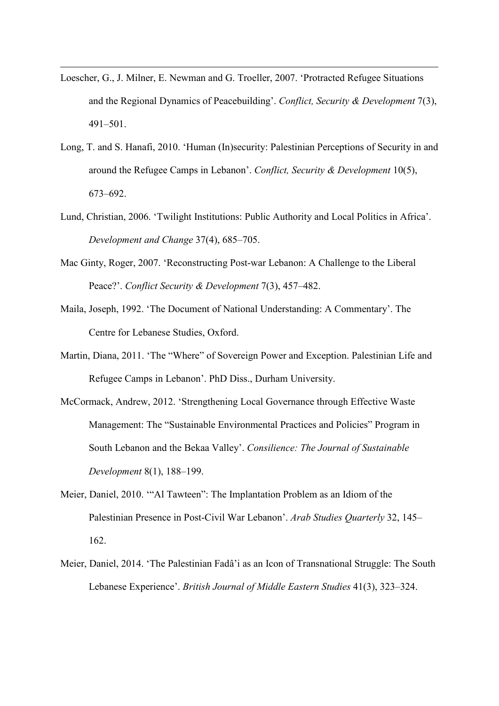Loescher, G., J. Milner, E. Newman and G. Troeller, 2007. 'Protracted Refugee Situations and the Regional Dynamics of Peacebuilding'. *Conflict, Security & Development* 7(3), 491–501.

- Long, T. and S. Hanafi, 2010. 'Human (In)security: Palestinian Perceptions of Security in and around the Refugee Camps in Lebanon'. *Conflict, Security & Development* 10(5), 673–692.
- Lund, Christian, 2006. 'Twilight Institutions: Public Authority and Local Politics in Africa'. *Development and Change* 37(4), 685–705.
- Mac Ginty, Roger, 2007. 'Reconstructing Post-war Lebanon: A Challenge to the Liberal Peace?'. *Conflict Security & Development* 7(3), 457–482.
- Maila, Joseph, 1992. 'The Document of National Understanding: A Commentary'. The Centre for Lebanese Studies, Oxford.
- Martin, Diana, 2011. 'The "Where" of Sovereign Power and Exception. Palestinian Life and Refugee Camps in Lebanon'. PhD Diss., Durham University.
- McCormack, Andrew, 2012. 'Strengthening Local Governance through Effective Waste Management: The "Sustainable Environmental Practices and Policies" Program in South Lebanon and the Bekaa Valley'. *Consilience: The Journal of Sustainable Development* 8(1), 188–199.
- Meier, Daniel, 2010. '"Al Tawteen": The Implantation Problem as an Idiom of the Palestinian Presence in Post-Civil War Lebanon'. *Arab Studies Quarterly* 32, 145– 162.
- Meier, Daniel, 2014. 'The Palestinian Fadâ'i as an Icon of Transnational Struggle: The South Lebanese Experience'. *British Journal of Middle Eastern Studies* 41(3), 323–324.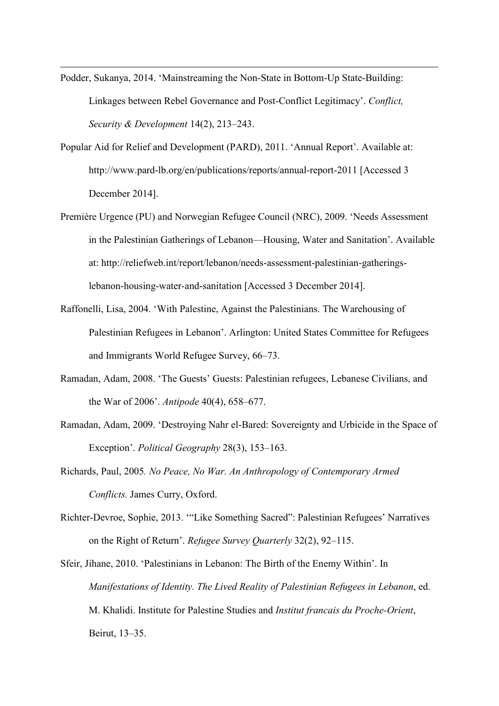Podder, Sukanya, 2014. 'Mainstreaming the Non-State in Bottom-Up State-Building: Linkages between Rebel Governance and Post-Conflict Legitimacy'. *Conflict, Security & Development* 14(2), 213–243.

- Popular Aid for Relief and Development (PARD), 2011. 'Annual Report'. Available at: http://www.pard-lb.org/en/publications/reports/annual-report-2011 [Accessed 3 December 2014].
- Première Urgence (PU) and Norwegian Refugee Council (NRC), 2009. 'Needs Assessment in the Palestinian Gatherings of Lebanon—Housing, Water and Sanitation'. Available at: http://reliefweb.int/report/lebanon/needs-assessment-palestinian-gatheringslebanon-housing-water-and-sanitation [Accessed 3 December 2014].
- Raffonelli, Lisa, 2004. 'With Palestine, Against the Palestinians. The Warehousing of Palestinian Refugees in Lebanon'. Arlington: United States Committee for Refugees and Immigrants World Refugee Survey, 66–73.
- Ramadan, Adam, 2008. 'The Guests' Guests: Palestinian refugees, Lebanese Civilians, and the War of 2006'. *Antipode* 40(4), 658–677.
- Ramadan, Adam, 2009. 'Destroying Nahr el-Bared: Sovereignty and Urbicide in the Space of Exception'. *Political Geography* 28(3), 153–163.
- Richards, Paul, 2005*. No Peace, No War. An Anthropology of Contemporary Armed Conflicts.* James Curry, Oxford.
- Richter-Devroe, Sophie, 2013. '"Like Something Sacred": Palestinian Refugees' Narratives on the Right of Return'. *Refugee Survey Quarterly* 32(2), 92–115.
- Sfeir, Jihane, 2010. 'Palestinians in Lebanon: The Birth of the Enemy Within'. In *Manifestations of Identity. The Lived Reality of Palestinian Refugees in Lebanon*, ed. M. Khalidi. Institute for Palestine Studies and *Institut francais du Proche-Orient*, Beirut, 13–35.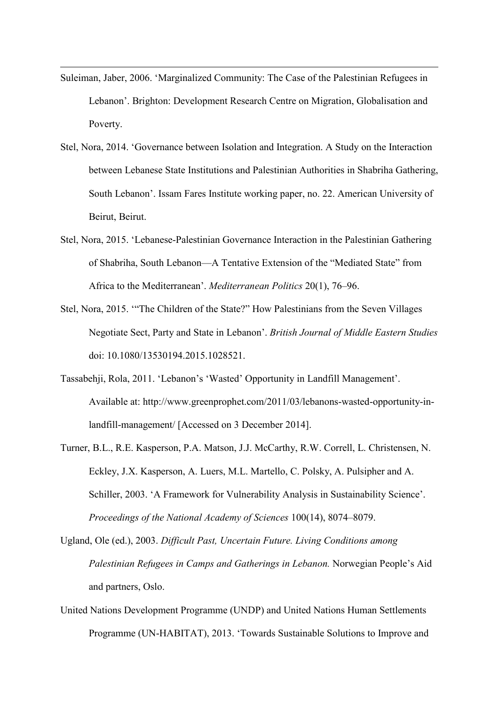Suleiman, Jaber, 2006. 'Marginalized Community: The Case of the Palestinian Refugees in Lebanon'. Brighton: Development Research Centre on Migration, Globalisation and Poverty.

- Stel, Nora, 2014. 'Governance between Isolation and Integration. A Study on the Interaction between Lebanese State Institutions and Palestinian Authorities in Shabriha Gathering, South Lebanon'. Issam Fares Institute working paper, no. 22. American University of Beirut, Beirut.
- Stel, Nora, 2015. 'Lebanese-Palestinian Governance Interaction in the Palestinian Gathering of Shabriha, South Lebanon—A Tentative Extension of the "Mediated State" from Africa to the Mediterranean'. *Mediterranean Politics* 20(1), 76–96.
- Stel, Nora, 2015. '"The Children of the State?" How Palestinians from the Seven Villages Negotiate Sect, Party and State in Lebanon'. *British Journal of Middle Eastern Studies* doi: 10.1080/13530194.2015.1028521.
- Tassabehji, Rola, 2011. 'Lebanon's 'Wasted' Opportunity in Landfill Management'. Available at: http://www.greenprophet.com/2011/03/lebanons-wasted-opportunity-inlandfill-management/ [Accessed on 3 December 2014].
- Turner, B.L., R.E. Kasperson, P.A. Matson, J.J. McCarthy, R.W. Correll, L. Christensen, N. Eckley, J.X. Kasperson, A. Luers, M.L. Martello, C. Polsky, A. Pulsipher and A. Schiller, 2003. 'A Framework for Vulnerability Analysis in Sustainability Science'. *Proceedings of the National Academy of Sciences* 100(14), 8074–8079.
- Ugland, Ole (ed.), 2003. *Difficult Past, Uncertain Future. Living Conditions among Palestinian Refugees in Camps and Gatherings in Lebanon.* Norwegian People's Aid and partners, Oslo.
- United Nations Development Programme (UNDP) and United Nations Human Settlements Programme (UN-HABITAT), 2013. 'Towards Sustainable Solutions to Improve and